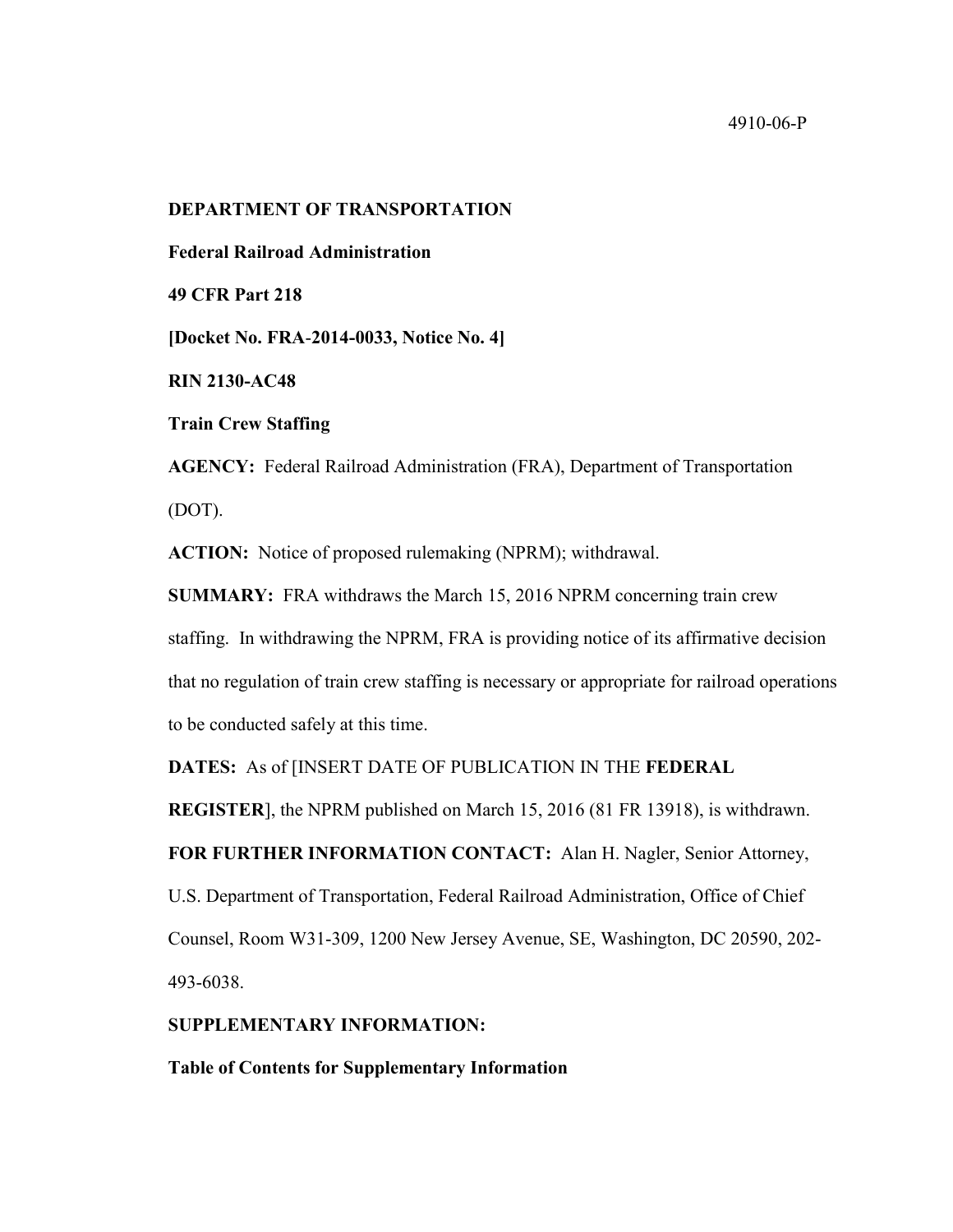#### 4910-06-P

#### **DEPARTMENT OF TRANSPORTATION**

**Federal Railroad Administration**

**49 CFR Part 218**

**[Docket No. FRA**-**2014-0033, Notice No. 4]**

**RIN 2130-AC48**

**Train Crew Staffing**

**AGENCY:** Federal Railroad Administration (FRA), Department of Transportation (DOT).

**ACTION:** Notice of proposed rulemaking (NPRM); withdrawal.

**SUMMARY:** FRA withdraws the March 15, 2016 NPRM concerning train crew staffing. In withdrawing the NPRM, FRA is providing notice of its affirmative decision that no regulation of train crew staffing is necessary or appropriate for railroad operations to be conducted safely at this time.

**DATES:** As of [INSERT DATE OF PUBLICATION IN THE **FEDERAL** 

**REGISTER**], the NPRM published on March 15, 2016 (81 FR 13918), is withdrawn.

**FOR FURTHER INFORMATION CONTACT:** Alan H. Nagler, Senior Attorney,

U.S. Department of Transportation, Federal Railroad Administration, Office of Chief Counsel, Room W31-309, 1200 New Jersey Avenue, SE, Washington, DC 20590, 202- 493-6038.

### **SUPPLEMENTARY INFORMATION:**

**Table of Contents for Supplementary Information**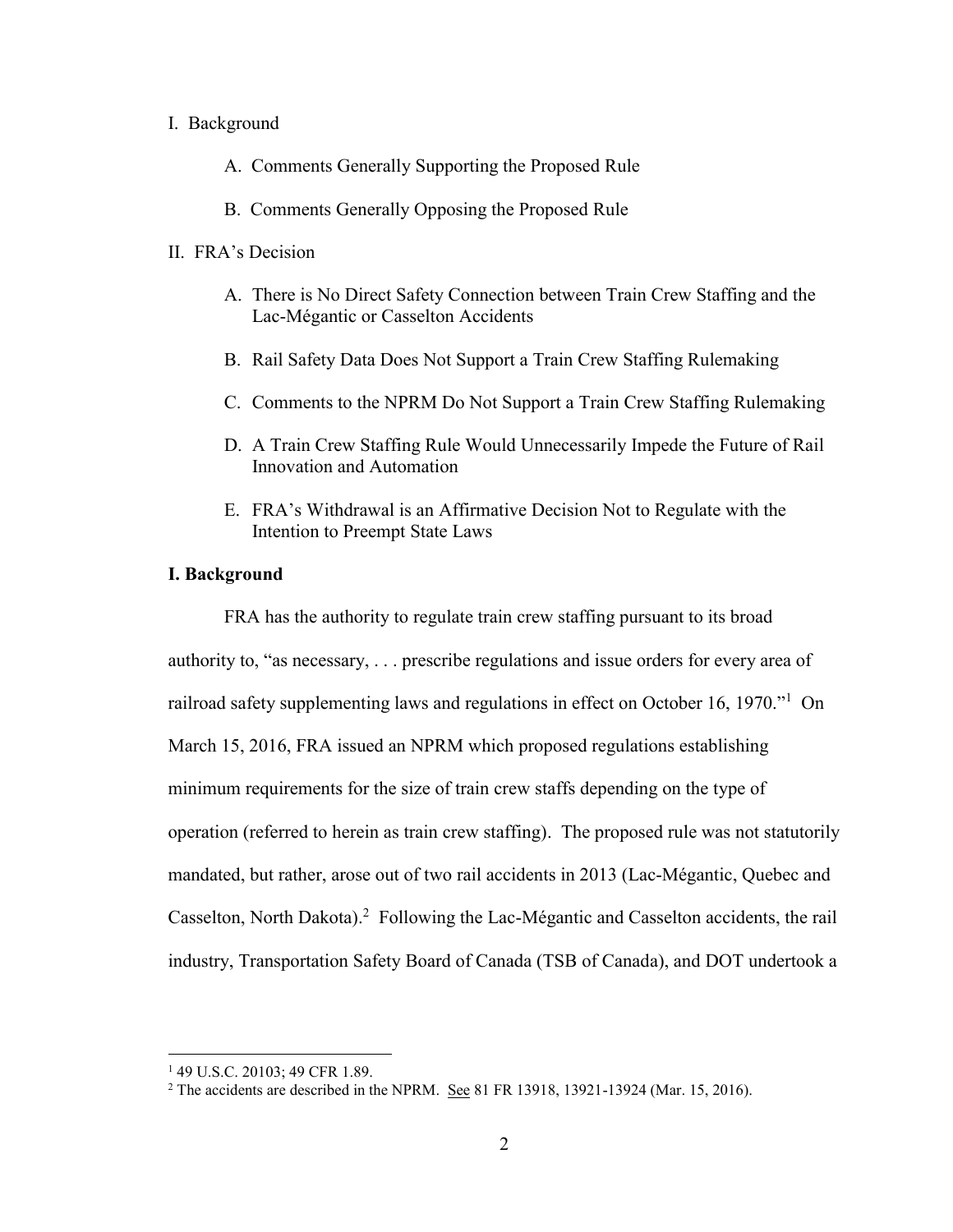#### I. Background

- A. Comments Generally Supporting the Proposed Rule
- B. Comments Generally Opposing the Proposed Rule

### II. FRA's Decision

- A. There is No Direct Safety Connection between Train Crew Staffing and the Lac-Mégantic or Casselton Accidents
- B. Rail Safety Data Does Not Support a Train Crew Staffing Rulemaking
- C. Comments to the NPRM Do Not Support a Train Crew Staffing Rulemaking
- D. A Train Crew Staffing Rule Would Unnecessarily Impede the Future of Rail Innovation and Automation
- E. FRA's Withdrawal is an Affirmative Decision Not to Regulate with the Intention to Preempt State Laws

### **I. Background**

FRA has the authority to regulate train crew staffing pursuant to its broad authority to, "as necessary, . . . prescribe regulations and issue orders for every area of railroad safety supplementing laws and regulations in effect on October 16, 1970."<sup>1</sup> On March 15, 2016, FRA issued an NPRM which proposed regulations establishing minimum requirements for the size of train crew staffs depending on the type of operation (referred to herein as train crew staffing). The proposed rule was not statutorily mandated, but rather, arose out of two rail accidents in 2013 (Lac-Mégantic, Quebec and Casselton, North Dakota).<sup>2</sup> Following the Lac-Mégantic and Casselton accidents, the rail industry, Transportation Safety Board of Canada (TSB of Canada), and DOT undertook a

<sup>&</sup>lt;sup>1</sup> 49 U.S.C. 20103; 49 CFR 1.89.

<sup>&</sup>lt;sup>2</sup> The accidents are described in the NPRM. See 81 FR 13918, 13921-13924 (Mar. 15, 2016).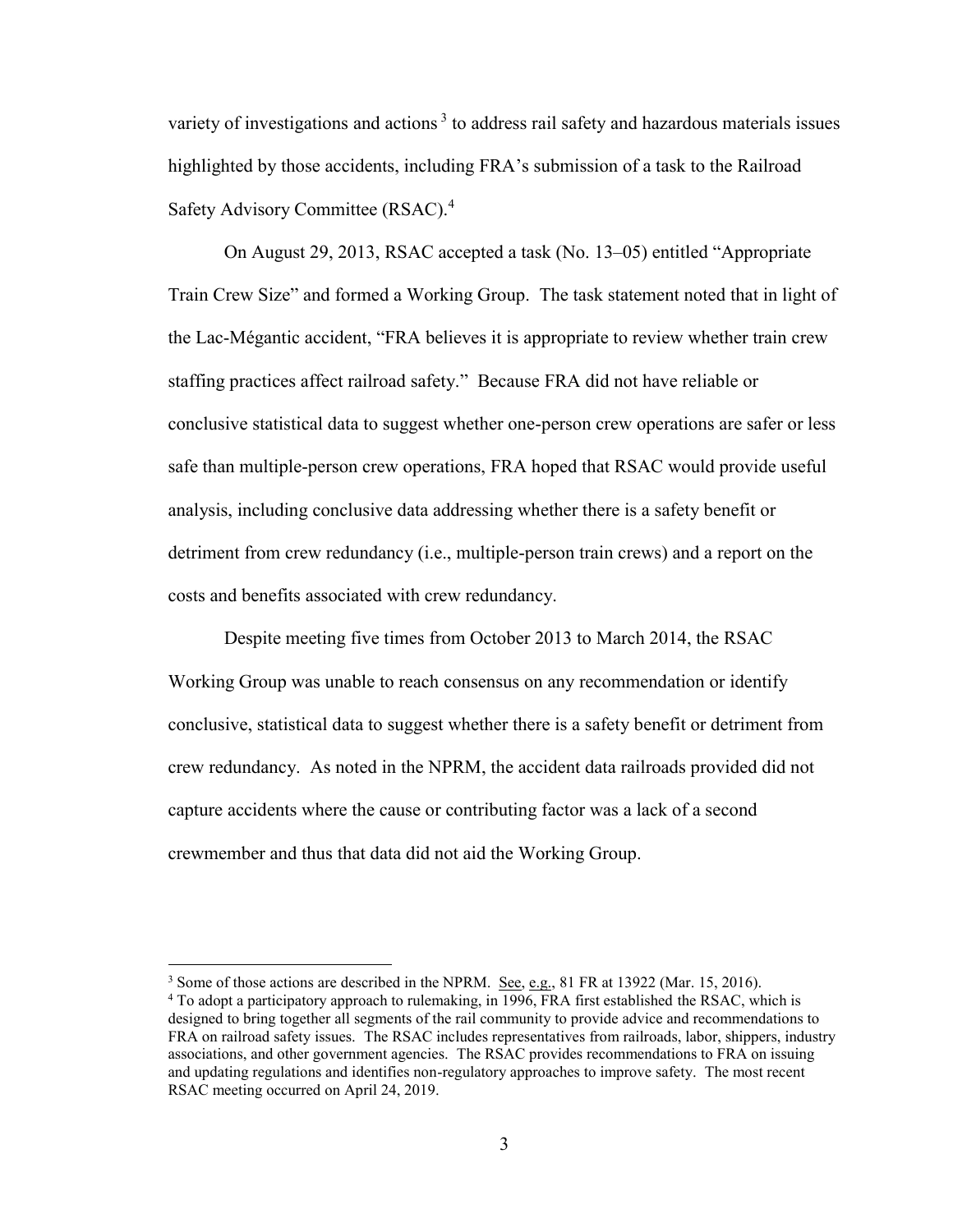variety of investigations and actions<sup>3</sup> to address rail safety and hazardous materials issues highlighted by those accidents, including FRA's submission of a task to the Railroad Safety Advisory Committee (RSAC).<sup>4</sup>

On August 29, 2013, RSAC accepted a task (No. 13–05) entitled "Appropriate Train Crew Size" and formed a Working Group. The task statement noted that in light of the Lac-Mégantic accident, "FRA believes it is appropriate to review whether train crew staffing practices affect railroad safety." Because FRA did not have reliable or conclusive statistical data to suggest whether one-person crew operations are safer or less safe than multiple-person crew operations, FRA hoped that RSAC would provide useful analysis, including conclusive data addressing whether there is a safety benefit or detriment from crew redundancy (i.e., multiple-person train crews) and a report on the costs and benefits associated with crew redundancy.

Despite meeting five times from October 2013 to March 2014, the RSAC Working Group was unable to reach consensus on any recommendation or identify conclusive, statistical data to suggest whether there is a safety benefit or detriment from crew redundancy. As noted in the NPRM, the accident data railroads provided did not capture accidents where the cause or contributing factor was a lack of a second crewmember and thus that data did not aid the Working Group.

<sup>&</sup>lt;sup>3</sup> Some of those actions are described in the NPRM. See, e.g., 81 FR at 13922 (Mar. 15, 2016).

<sup>&</sup>lt;sup>4</sup> To adopt a participatory approach to rulemaking, in 1996, FRA first established the RSAC, which is designed to bring together all segments of the rail community to provide advice and recommendations to FRA on railroad safety issues. The RSAC includes representatives from railroads, labor, shippers, industry associations, and other government agencies. The RSAC provides recommendations to FRA on issuing and updating regulations and identifies non-regulatory approaches to improve safety. The most recent RSAC meeting occurred on April 24, 2019.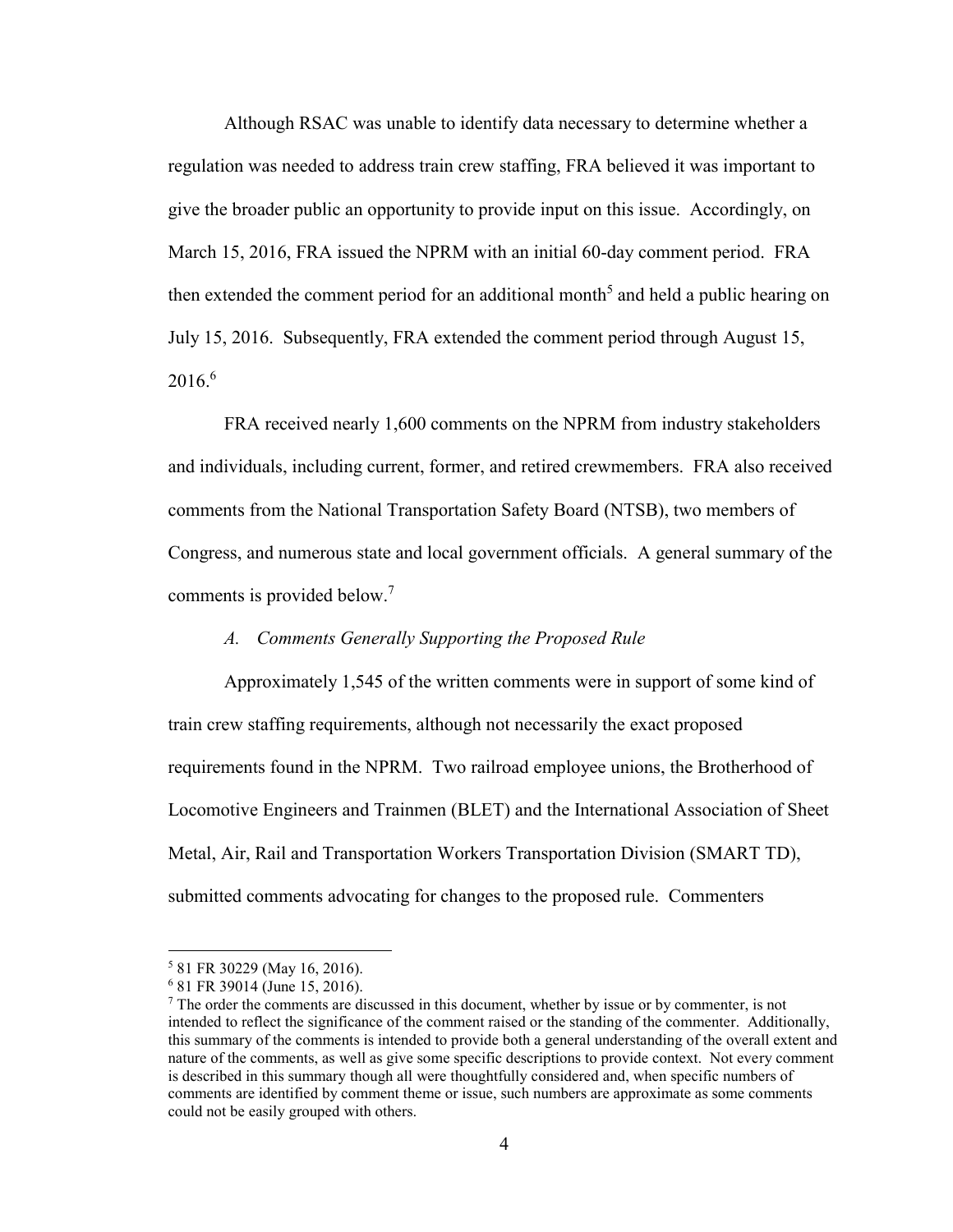Although RSAC was unable to identify data necessary to determine whether a regulation was needed to address train crew staffing, FRA believed it was important to give the broader public an opportunity to provide input on this issue. Accordingly, on March 15, 2016, FRA issued the NPRM with an initial 60-day comment period. FRA then extended the comment period for an additional month<sup>5</sup> and held a public hearing on July 15, 2016. Subsequently, FRA extended the comment period through August 15,  $2016.<sup>6</sup>$ 

FRA received nearly 1,600 comments on the NPRM from industry stakeholders and individuals, including current, former, and retired crewmembers. FRA also received comments from the National Transportation Safety Board (NTSB), two members of Congress, and numerous state and local government officials. A general summary of the comments is provided below. 7

## *A. Comments Generally Supporting the Proposed Rule*

Approximately 1,545 of the written comments were in support of some kind of train crew staffing requirements, although not necessarily the exact proposed requirements found in the NPRM. Two railroad employee unions, the Brotherhood of Locomotive Engineers and Trainmen (BLET) and the International Association of Sheet Metal, Air, Rail and Transportation Workers Transportation Division (SMART TD), submitted comments advocating for changes to the proposed rule. Commenters

<sup>5</sup> 81 FR 30229 (May 16, 2016).

<sup>6</sup> 81 FR 39014 (June 15, 2016).

 $<sup>7</sup>$  The order the comments are discussed in this document, whether by issue or by commenter, is not</sup> intended to reflect the significance of the comment raised or the standing of the commenter. Additionally, this summary of the comments is intended to provide both a general understanding of the overall extent and nature of the comments, as well as give some specific descriptions to provide context. Not every comment is described in this summary though all were thoughtfully considered and, when specific numbers of comments are identified by comment theme or issue, such numbers are approximate as some comments could not be easily grouped with others.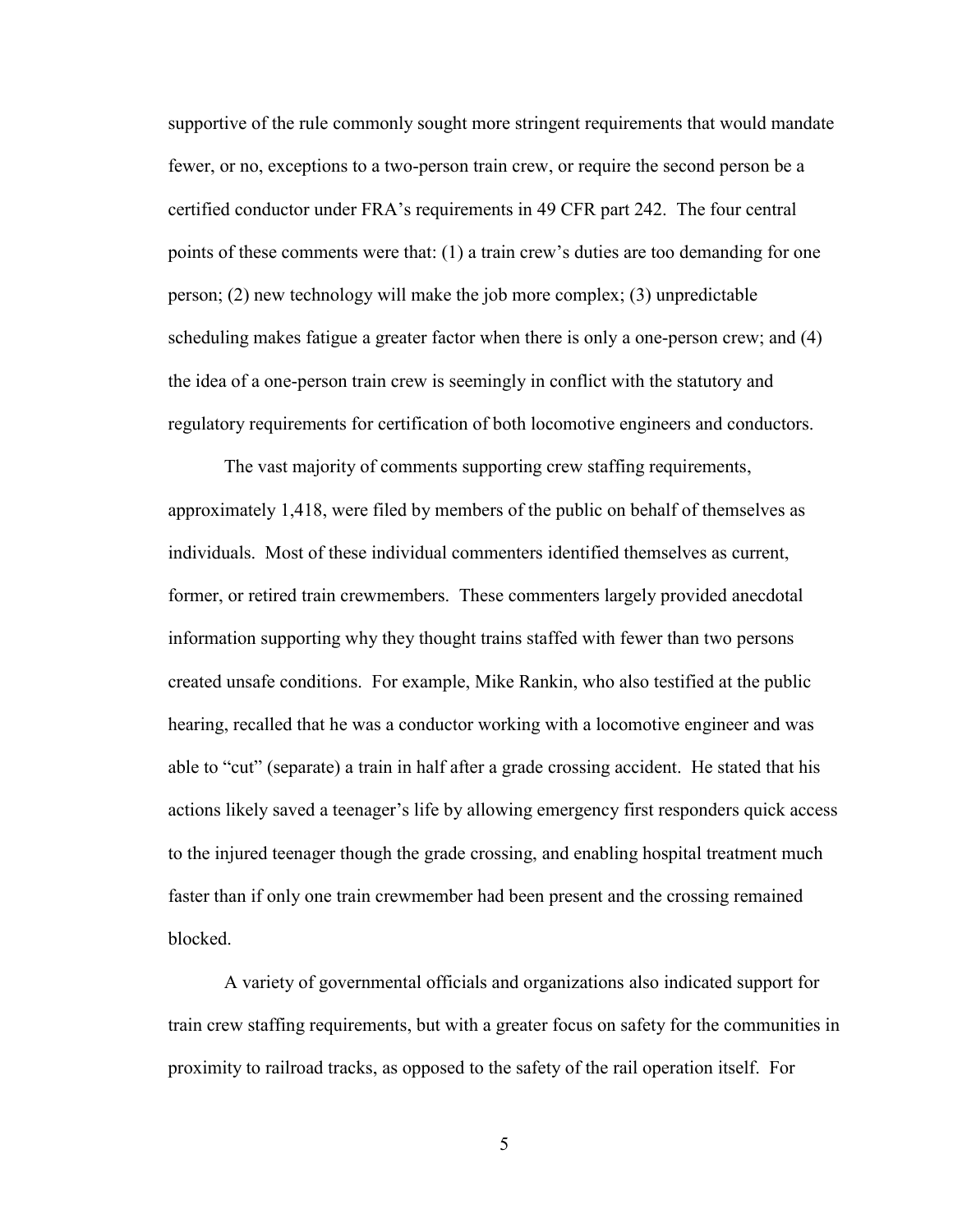supportive of the rule commonly sought more stringent requirements that would mandate fewer, or no, exceptions to a two-person train crew, or require the second person be a certified conductor under FRA's requirements in 49 CFR part 242. The four central points of these comments were that: (1) a train crew's duties are too demanding for one person; (2) new technology will make the job more complex; (3) unpredictable scheduling makes fatigue a greater factor when there is only a one-person crew; and (4) the idea of a one-person train crew is seemingly in conflict with the statutory and regulatory requirements for certification of both locomotive engineers and conductors.

The vast majority of comments supporting crew staffing requirements, approximately 1,418, were filed by members of the public on behalf of themselves as individuals. Most of these individual commenters identified themselves as current, former, or retired train crewmembers. These commenters largely provided anecdotal information supporting why they thought trains staffed with fewer than two persons created unsafe conditions. For example, Mike Rankin, who also testified at the public hearing, recalled that he was a conductor working with a locomotive engineer and was able to "cut" (separate) a train in half after a grade crossing accident. He stated that his actions likely saved a teenager's life by allowing emergency first responders quick access to the injured teenager though the grade crossing, and enabling hospital treatment much faster than if only one train crewmember had been present and the crossing remained blocked.

A variety of governmental officials and organizations also indicated support for train crew staffing requirements, but with a greater focus on safety for the communities in proximity to railroad tracks, as opposed to the safety of the rail operation itself. For

5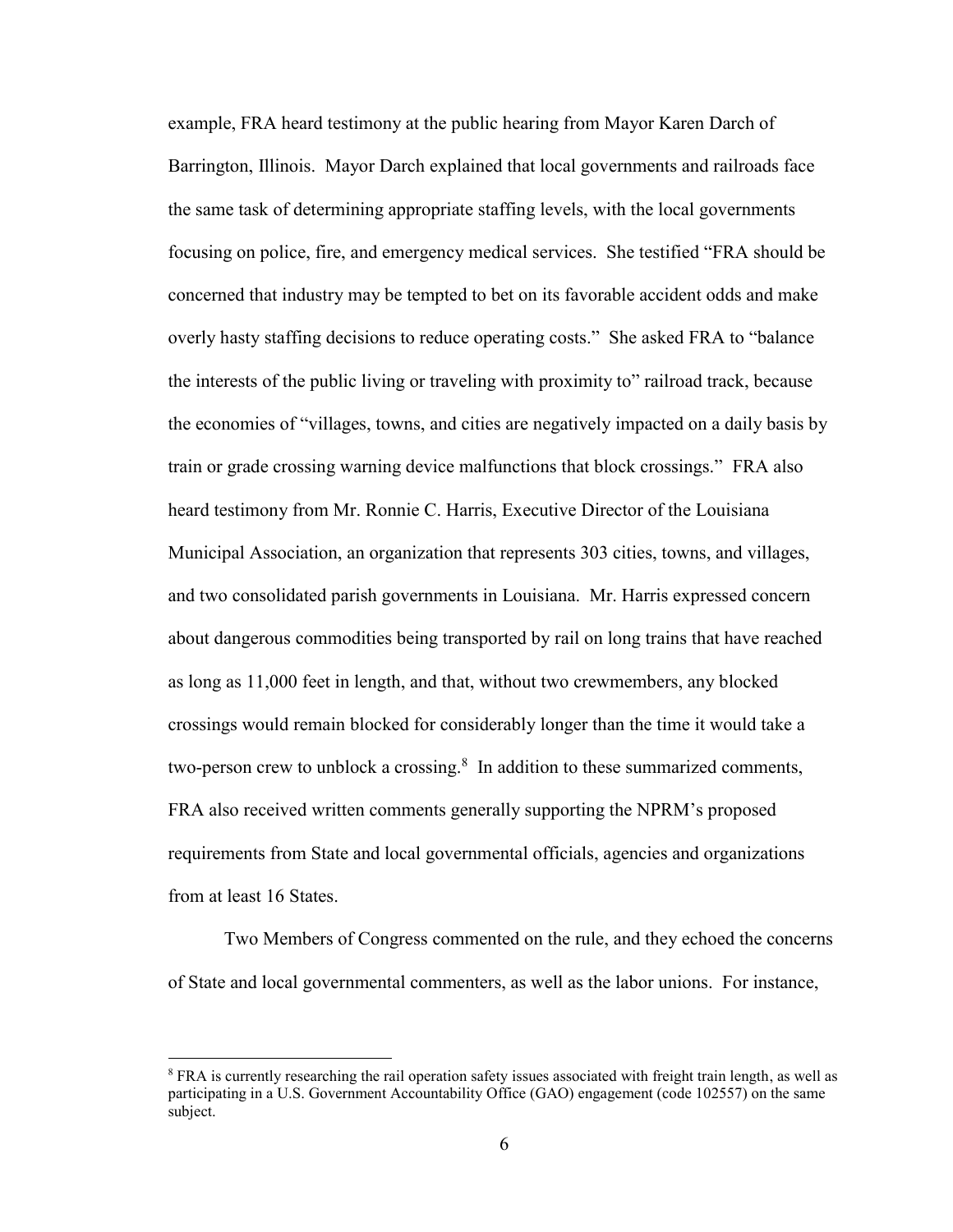example, FRA heard testimony at the public hearing from Mayor Karen Darch of Barrington, Illinois. Mayor Darch explained that local governments and railroads face the same task of determining appropriate staffing levels, with the local governments focusing on police, fire, and emergency medical services. She testified "FRA should be concerned that industry may be tempted to bet on its favorable accident odds and make overly hasty staffing decisions to reduce operating costs." She asked FRA to "balance the interests of the public living or traveling with proximity to" railroad track, because the economies of "villages, towns, and cities are negatively impacted on a daily basis by train or grade crossing warning device malfunctions that block crossings." FRA also heard testimony from Mr. Ronnie C. Harris, Executive Director of the Louisiana Municipal Association, an organization that represents 303 cities, towns, and villages, and two consolidated parish governments in Louisiana. Mr. Harris expressed concern about dangerous commodities being transported by rail on long trains that have reached as long as 11,000 feet in length, and that, without two crewmembers, any blocked crossings would remain blocked for considerably longer than the time it would take a two-person crew to unblock a crossing. $8\,$  In addition to these summarized comments, FRA also received written comments generally supporting the NPRM's proposed requirements from State and local governmental officials, agencies and organizations from at least 16 States.

Two Members of Congress commented on the rule, and they echoed the concerns of State and local governmental commenters, as well as the labor unions. For instance,

<sup>&</sup>lt;sup>8</sup> FRA is currently researching the rail operation safety issues associated with freight train length, as well as participating in a U.S. Government Accountability Office (GAO) engagement (code 102557) on the same subject.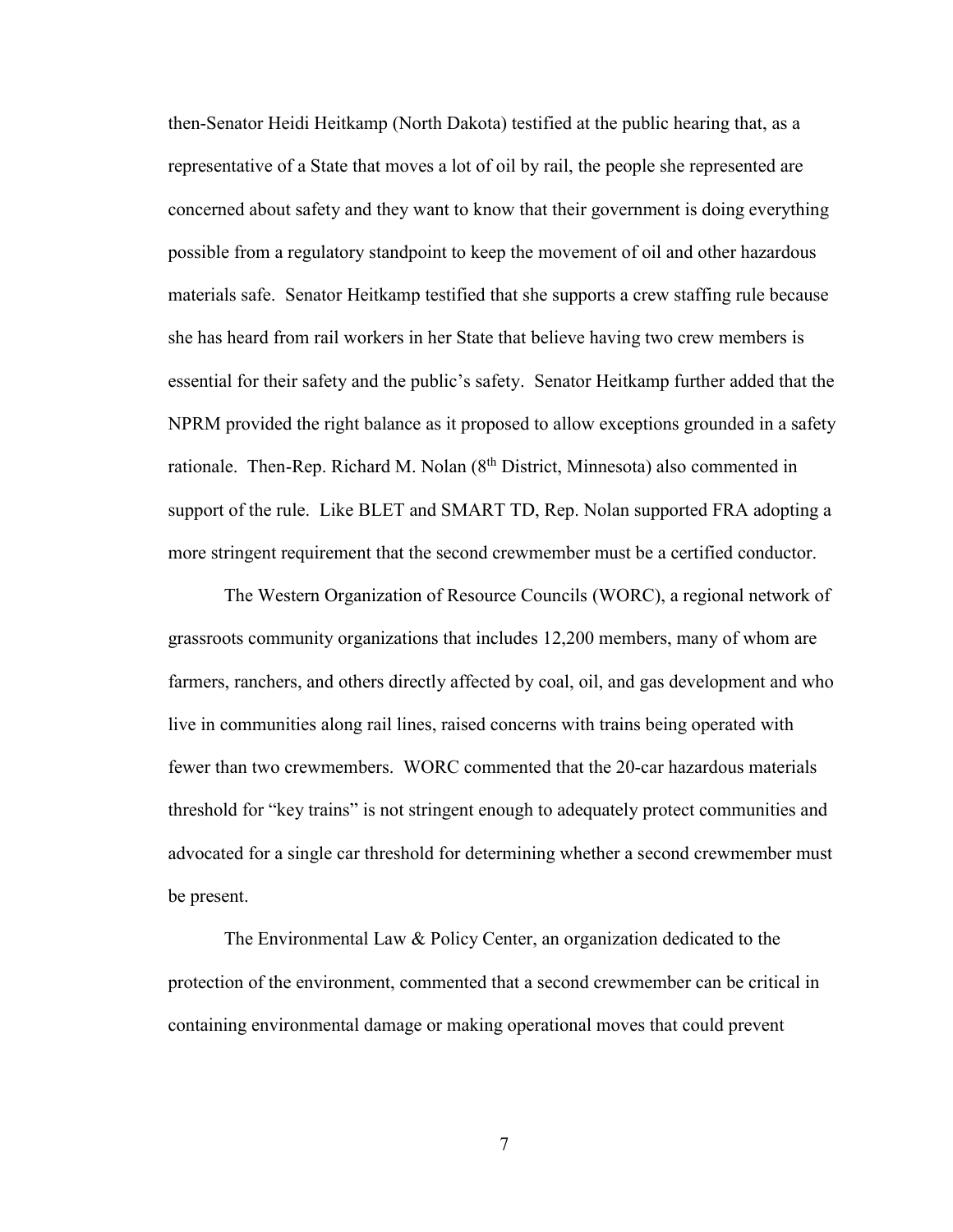then-Senator Heidi Heitkamp (North Dakota) testified at the public hearing that, as a representative of a State that moves a lot of oil by rail, the people she represented are concerned about safety and they want to know that their government is doing everything possible from a regulatory standpoint to keep the movement of oil and other hazardous materials safe. Senator Heitkamp testified that she supports a crew staffing rule because she has heard from rail workers in her State that believe having two crew members is essential for their safety and the public's safety. Senator Heitkamp further added that the NPRM provided the right balance as it proposed to allow exceptions grounded in a safety rationale. Then-Rep. Richard M. Nolan  $(8<sup>th</sup>$  District, Minnesota) also commented in support of the rule. Like BLET and SMART TD, Rep. Nolan supported FRA adopting a more stringent requirement that the second crewmember must be a certified conductor.

The Western Organization of Resource Councils (WORC), a regional network of grassroots community organizations that includes 12,200 members, many of whom are farmers, ranchers, and others directly affected by coal, oil, and gas development and who live in communities along rail lines, raised concerns with trains being operated with fewer than two crewmembers. WORC commented that the 20-car hazardous materials threshold for "key trains" is not stringent enough to adequately protect communities and advocated for a single car threshold for determining whether a second crewmember must be present.

The Environmental Law & Policy Center, an organization dedicated to the protection of the environment, commented that a second crewmember can be critical in containing environmental damage or making operational moves that could prevent

7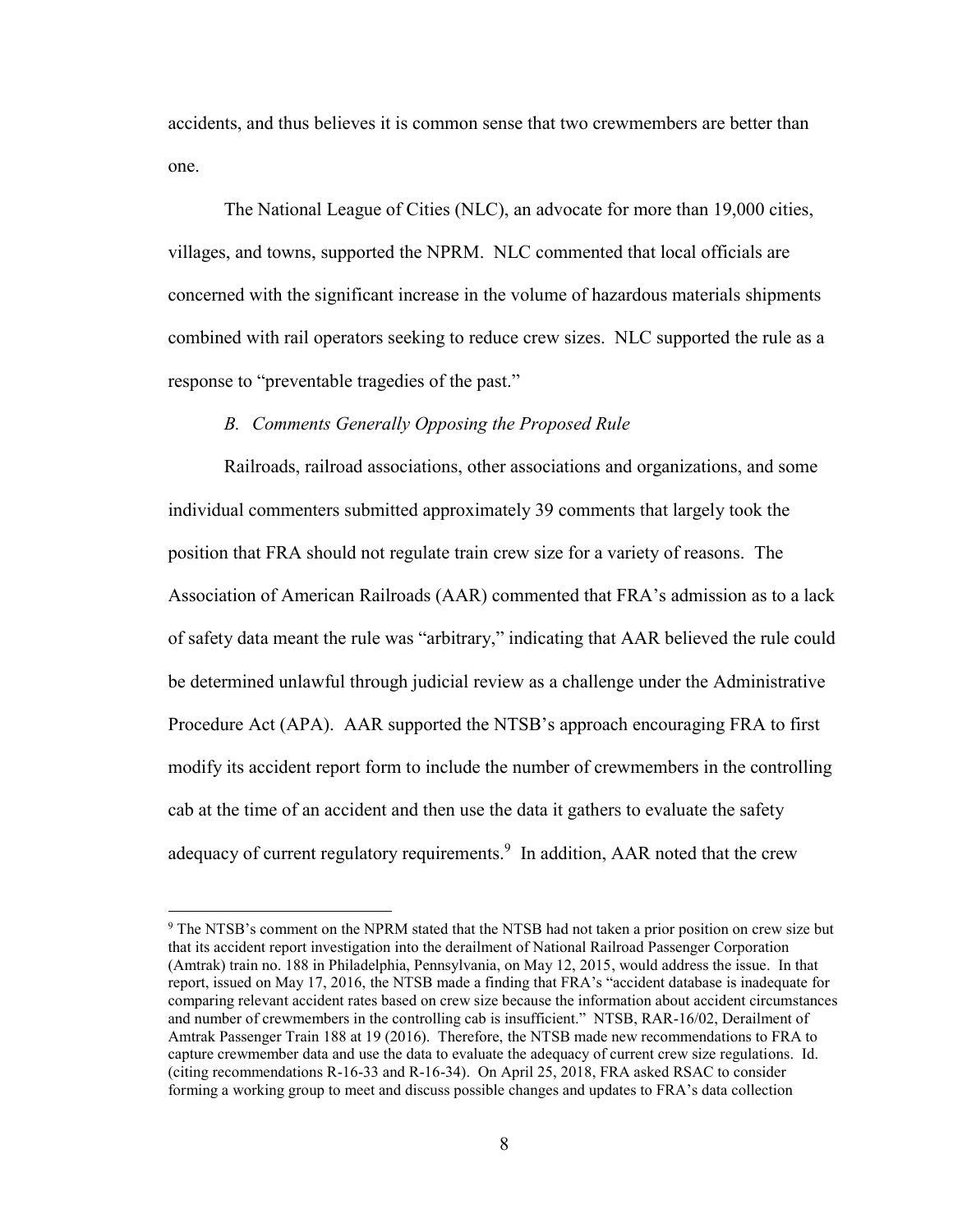accidents, and thus believes it is common sense that two crewmembers are better than one.

The National League of Cities (NLC), an advocate for more than 19,000 cities, villages, and towns, supported the NPRM. NLC commented that local officials are concerned with the significant increase in the volume of hazardous materials shipments combined with rail operators seeking to reduce crew sizes. NLC supported the rule as a response to "preventable tragedies of the past."

### *B. Comments Generally Opposing the Proposed Rule*

Railroads, railroad associations, other associations and organizations, and some individual commenters submitted approximately 39 comments that largely took the position that FRA should not regulate train crew size for a variety of reasons. The Association of American Railroads (AAR) commented that FRA's admission as to a lack of safety data meant the rule was "arbitrary," indicating that AAR believed the rule could be determined unlawful through judicial review as a challenge under the Administrative Procedure Act (APA). AAR supported the NTSB's approach encouraging FRA to first modify its accident report form to include the number of crewmembers in the controlling cab at the time of an accident and then use the data it gathers to evaluate the safety adequacy of current regulatory requirements.<sup>9</sup> In addition, AAR noted that the crew

<sup>9</sup> The NTSB's comment on the NPRM stated that the NTSB had not taken a prior position on crew size but that its accident report investigation into the derailment of National Railroad Passenger Corporation (Amtrak) train no. 188 in Philadelphia, Pennsylvania, on May 12, 2015, would address the issue. In that report, issued on May 17, 2016, the NTSB made a finding that FRA's "accident database is inadequate for comparing relevant accident rates based on crew size because the information about accident circumstances and number of crewmembers in the controlling cab is insufficient." NTSB, RAR-16/02, Derailment of Amtrak Passenger Train 188 at 19 (2016). Therefore, the NTSB made new recommendations to FRA to capture crewmember data and use the data to evaluate the adequacy of current crew size regulations. Id. (citing recommendations R-16-33 and R-16-34). On April 25, 2018, FRA asked RSAC to consider forming a working group to meet and discuss possible changes and updates to FRA's data collection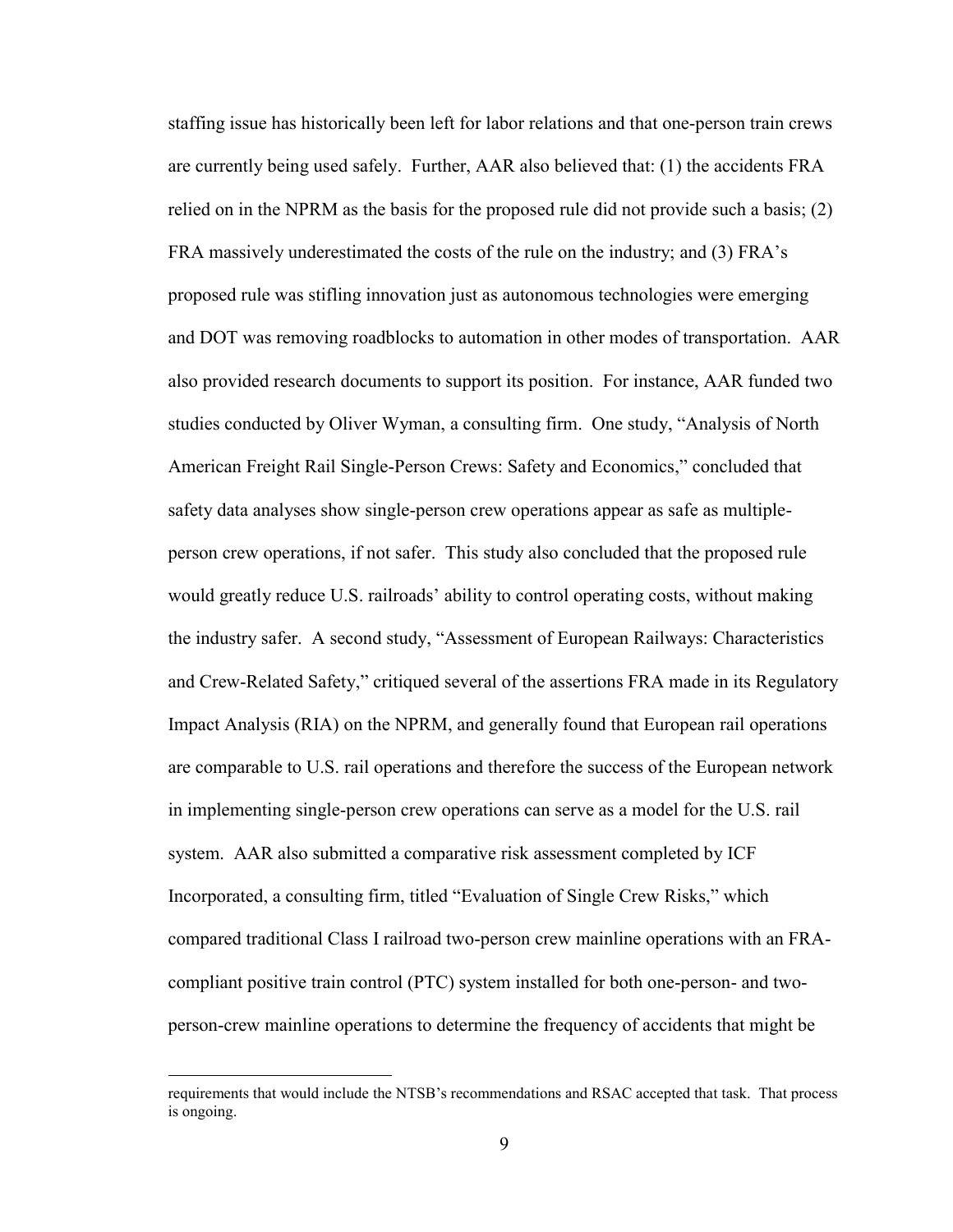staffing issue has historically been left for labor relations and that one-person train crews are currently being used safely. Further, AAR also believed that: (1) the accidents FRA relied on in the NPRM as the basis for the proposed rule did not provide such a basis; (2) FRA massively underestimated the costs of the rule on the industry; and (3) FRA's proposed rule was stifling innovation just as autonomous technologies were emerging and DOT was removing roadblocks to automation in other modes of transportation. AAR also provided research documents to support its position. For instance, AAR funded two studies conducted by Oliver Wyman, a consulting firm. One study, "Analysis of North American Freight Rail Single-Person Crews: Safety and Economics," concluded that safety data analyses show single-person crew operations appear as safe as multipleperson crew operations, if not safer. This study also concluded that the proposed rule would greatly reduce U.S. railroads' ability to control operating costs, without making the industry safer. A second study, "Assessment of European Railways: Characteristics and Crew-Related Safety," critiqued several of the assertions FRA made in its Regulatory Impact Analysis (RIA) on the NPRM, and generally found that European rail operations are comparable to U.S. rail operations and therefore the success of the European network in implementing single-person crew operations can serve as a model for the U.S. rail system. AAR also submitted a comparative risk assessment completed by ICF Incorporated, a consulting firm, titled "Evaluation of Single Crew Risks," which compared traditional Class I railroad two-person crew mainline operations with an FRAcompliant positive train control (PTC) system installed for both one-person- and twoperson-crew mainline operations to determine the frequency of accidents that might be

requirements that would include the NTSB's recommendations and RSAC accepted that task. That process is ongoing.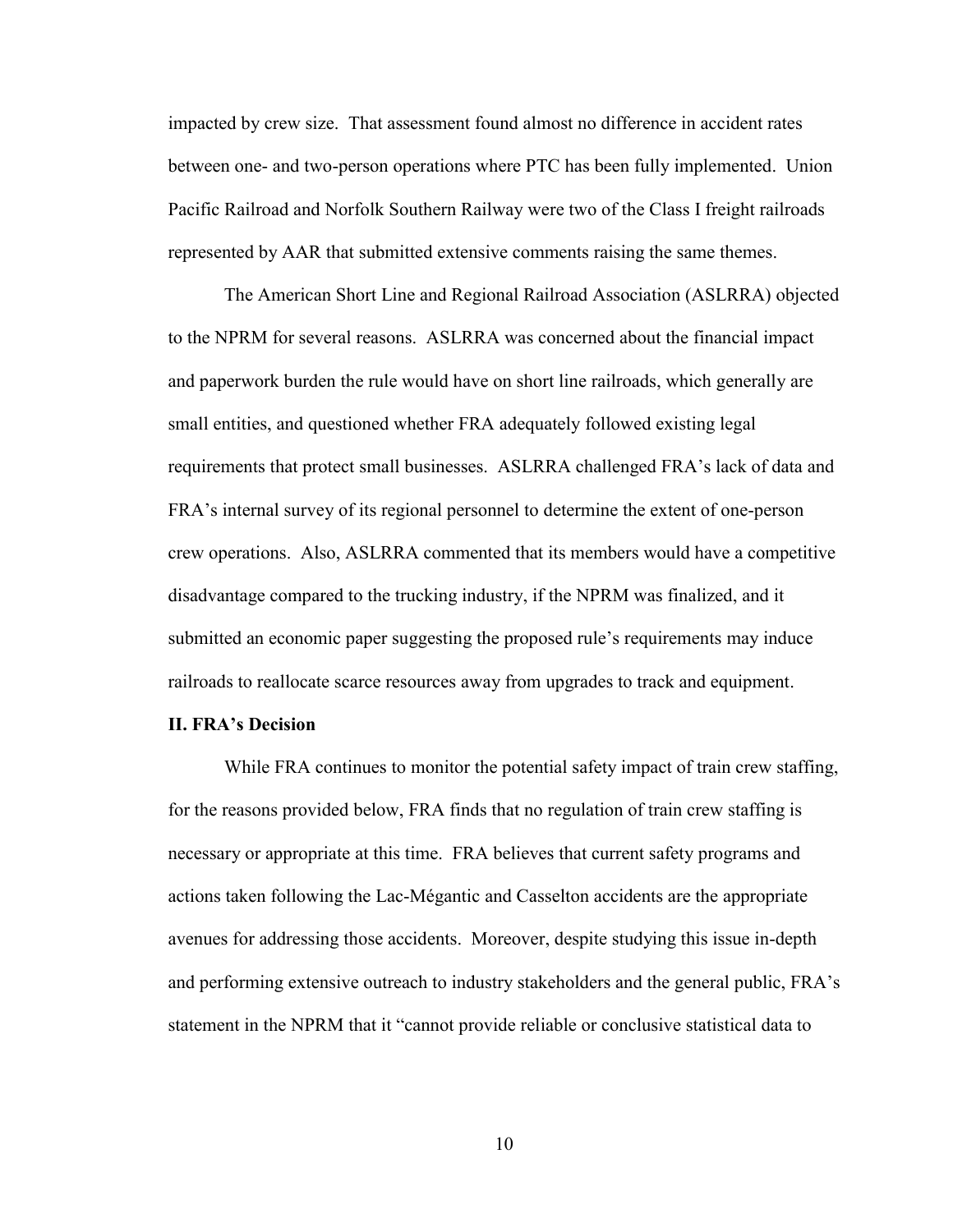impacted by crew size. That assessment found almost no difference in accident rates between one- and two-person operations where PTC has been fully implemented. Union Pacific Railroad and Norfolk Southern Railway were two of the Class I freight railroads represented by AAR that submitted extensive comments raising the same themes.

The American Short Line and Regional Railroad Association (ASLRRA) objected to the NPRM for several reasons. ASLRRA was concerned about the financial impact and paperwork burden the rule would have on short line railroads, which generally are small entities, and questioned whether FRA adequately followed existing legal requirements that protect small businesses. ASLRRA challenged FRA's lack of data and FRA's internal survey of its regional personnel to determine the extent of one-person crew operations. Also, ASLRRA commented that its members would have a competitive disadvantage compared to the trucking industry, if the NPRM was finalized, and it submitted an economic paper suggesting the proposed rule's requirements may induce railroads to reallocate scarce resources away from upgrades to track and equipment.

#### **II. FRA's Decision**

While FRA continues to monitor the potential safety impact of train crew staffing, for the reasons provided below, FRA finds that no regulation of train crew staffing is necessary or appropriate at this time. FRA believes that current safety programs and actions taken following the Lac-Mégantic and Casselton accidents are the appropriate avenues for addressing those accidents. Moreover, despite studying this issue in-depth and performing extensive outreach to industry stakeholders and the general public, FRA's statement in the NPRM that it "cannot provide reliable or conclusive statistical data to

10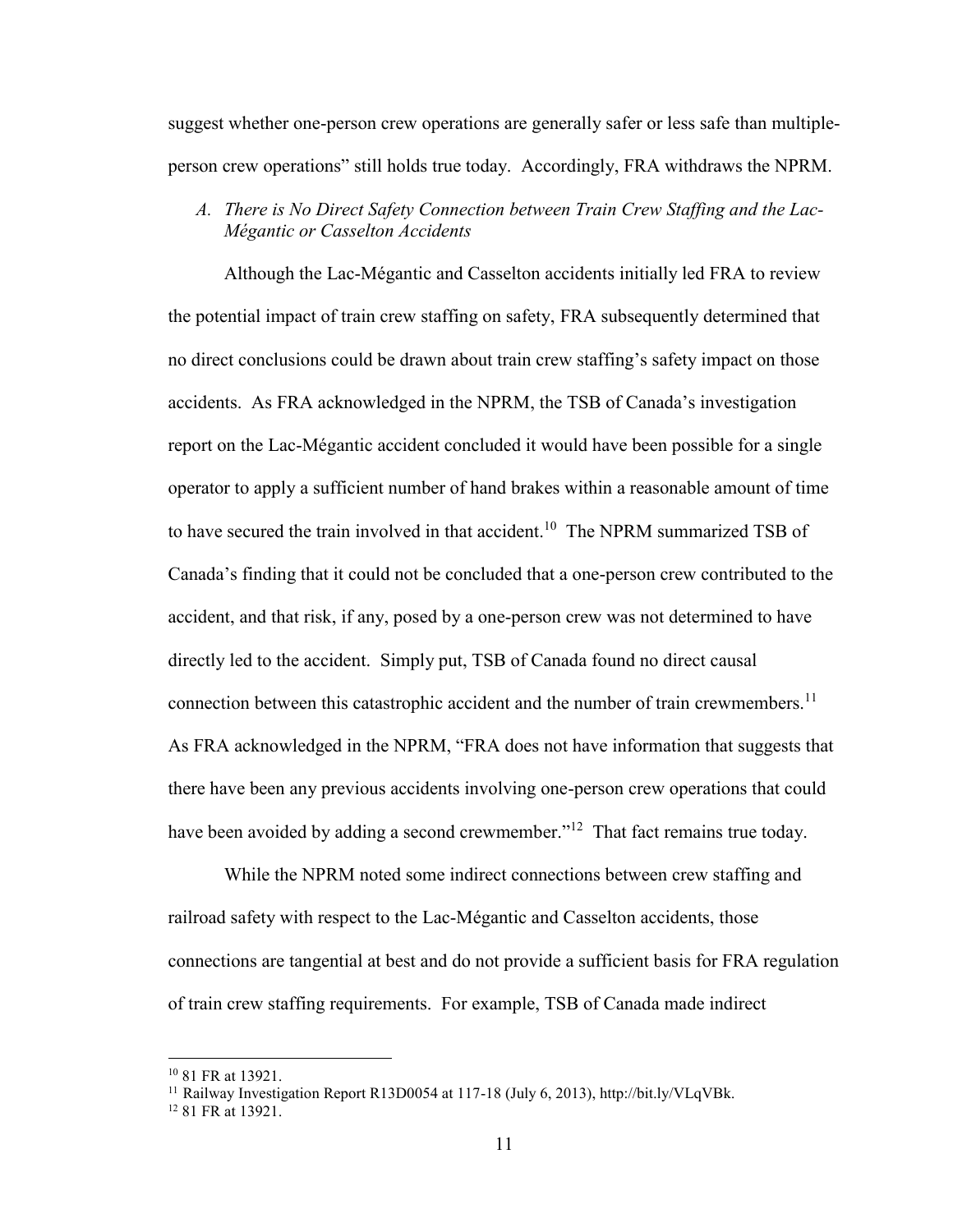suggest whether one-person crew operations are generally safer or less safe than multipleperson crew operations" still holds true today. Accordingly, FRA withdraws the NPRM.

*A. There is No Direct Safety Connection between Train Crew Staffing and the Lac-Mégantic or Casselton Accidents*

Although the Lac-Mégantic and Casselton accidents initially led FRA to review the potential impact of train crew staffing on safety, FRA subsequently determined that no direct conclusions could be drawn about train crew staffing's safety impact on those accidents. As FRA acknowledged in the NPRM, the TSB of Canada's investigation report on the Lac-Mégantic accident concluded it would have been possible for a single operator to apply a sufficient number of hand brakes within a reasonable amount of time to have secured the train involved in that accident.<sup>10</sup> The NPRM summarized TSB of Canada's finding that it could not be concluded that a one-person crew contributed to the accident, and that risk, if any, posed by a one-person crew was not determined to have directly led to the accident. Simply put, TSB of Canada found no direct causal connection between this catastrophic accident and the number of train crewmembers.<sup>11</sup> As FRA acknowledged in the NPRM, "FRA does not have information that suggests that there have been any previous accidents involving one-person crew operations that could have been avoided by adding a second crewmember."<sup>12</sup> That fact remains true today.

While the NPRM noted some indirect connections between crew staffing and railroad safety with respect to the Lac-Mégantic and Casselton accidents, those connections are tangential at best and do not provide a sufficient basis for FRA regulation of train crew staffing requirements. For example, TSB of Canada made indirect

<sup>10</sup> 81 FR at 13921.

<sup>&</sup>lt;sup>11</sup> Railway Investigation Report R13D0054 at 117-18 (July 6, 2013), http://bit.ly/VLqVBk.

<sup>12</sup> 81 FR at 13921.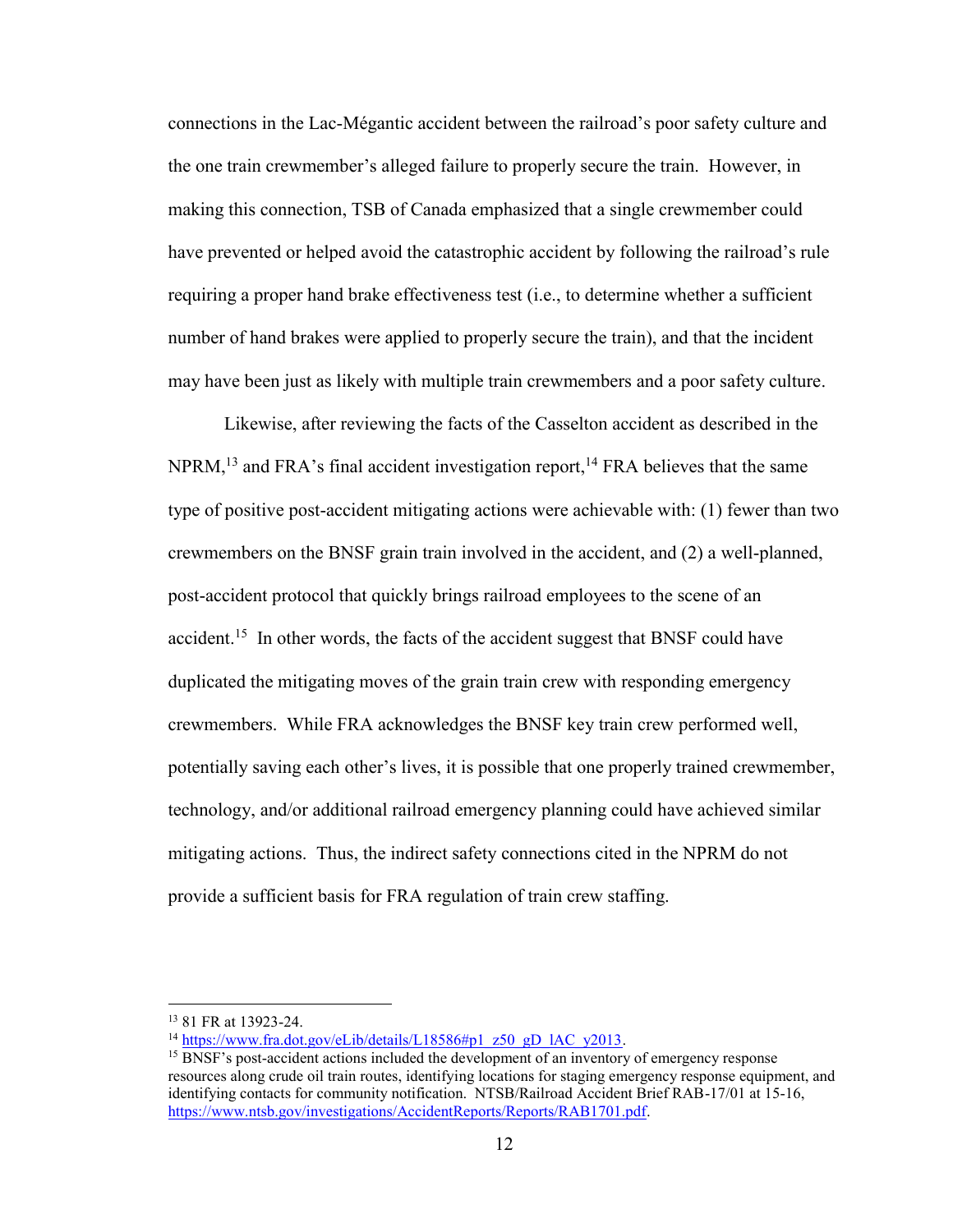connections in the Lac-Mégantic accident between the railroad's poor safety culture and the one train crewmember's alleged failure to properly secure the train. However, in making this connection, TSB of Canada emphasized that a single crewmember could have prevented or helped avoid the catastrophic accident by following the railroad's rule requiring a proper hand brake effectiveness test (i.e., to determine whether a sufficient number of hand brakes were applied to properly secure the train), and that the incident may have been just as likely with multiple train crewmembers and a poor safety culture.

Likewise, after reviewing the facts of the Casselton accident as described in the NPRM,<sup>13</sup> and FRA's final accident investigation report,<sup>14</sup> FRA believes that the same type of positive post-accident mitigating actions were achievable with: (1) fewer than two crewmembers on the BNSF grain train involved in the accident, and (2) a well-planned, post-accident protocol that quickly brings railroad employees to the scene of an accident.<sup>15</sup> In other words, the facts of the accident suggest that BNSF could have duplicated the mitigating moves of the grain train crew with responding emergency crewmembers. While FRA acknowledges the BNSF key train crew performed well, potentially saving each other's lives, it is possible that one properly trained crewmember, technology, and/or additional railroad emergency planning could have achieved similar mitigating actions. Thus, the indirect safety connections cited in the NPRM do not provide a sufficient basis for FRA regulation of train crew staffing.

<sup>13</sup> 81 FR at 13923-24.

<sup>&</sup>lt;sup>14</sup> [https://www.fra.dot.gov/eLib/details/L18586#p1\\_z50\\_gD\\_lAC\\_y2013.](https://www.fra.dot.gov/eLib/details/L18586#p1_z50_gD_lAC_y2013)

<sup>&</sup>lt;sup>15</sup> BNSF's post-accident actions included the development of an inventory of emergency response resources along crude oil train routes, identifying locations for staging emergency response equipment, and identifying contacts for community notification. NTSB/Railroad Accident Brief RAB-17/01 at 15-16, [https://www.ntsb.gov/investigations/AccidentReports/Reports/RAB1701.pdf.](https://www.ntsb.gov/investigations/AccidentReports/Reports/RAB1701.pdf)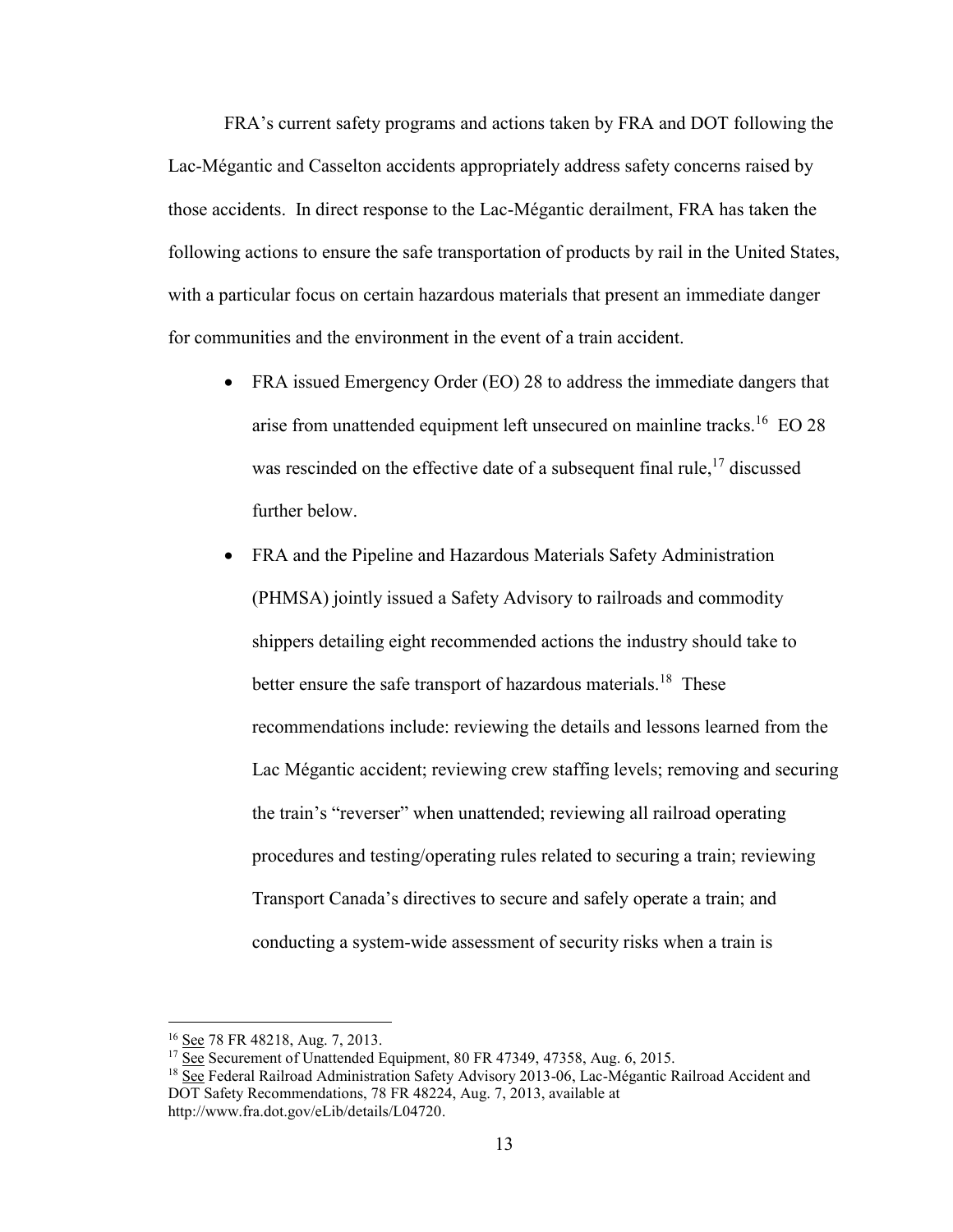FRA's current safety programs and actions taken by FRA and DOT following the Lac-Mégantic and Casselton accidents appropriately address safety concerns raised by those accidents. In direct response to the Lac-Mégantic derailment, FRA has taken the following actions to ensure the safe transportation of products by rail in the United States, with a particular focus on certain hazardous materials that present an immediate danger for communities and the environment in the event of a train accident.

- FRA issued Emergency Order (EO) 28 to address the immediate dangers that arise from unattended equipment left unsecured on mainline tracks.<sup>16</sup> EO 28 was rescinded on the effective date of a subsequent final rule,<sup>17</sup> discussed further below.
- FRA and the Pipeline and Hazardous Materials Safety Administration (PHMSA) jointly issued a Safety Advisory to railroads and commodity shippers detailing eight recommended actions the industry should take to better ensure the safe transport of hazardous materials.<sup>18</sup> These recommendations include: reviewing the details and lessons learned from the Lac Mégantic accident; reviewing crew staffing levels; removing and securing the train's "reverser" when unattended; reviewing all railroad operating procedures and testing/operating rules related to securing a train; reviewing Transport Canada's directives to secure and safely operate a train; and conducting a system-wide assessment of security risks when a train is

<sup>16</sup> See 78 FR 48218, Aug. 7, 2013.

 $17 \overline{See}$  Securement of Unattended Equipment, 80 FR 47349, 47358, Aug. 6, 2015.

<sup>&</sup>lt;sup>18</sup> See Federal Railroad Administration Safety Advisory 2013-06, Lac-Mégantic Railroad Accident and DOT Safety Recommendations, 78 FR 48224, Aug. 7, 2013, available at [http://www.fra.dot.gov/eLib/details/L04720.](http://www.fra.dot.gov/eLib/details/L04720)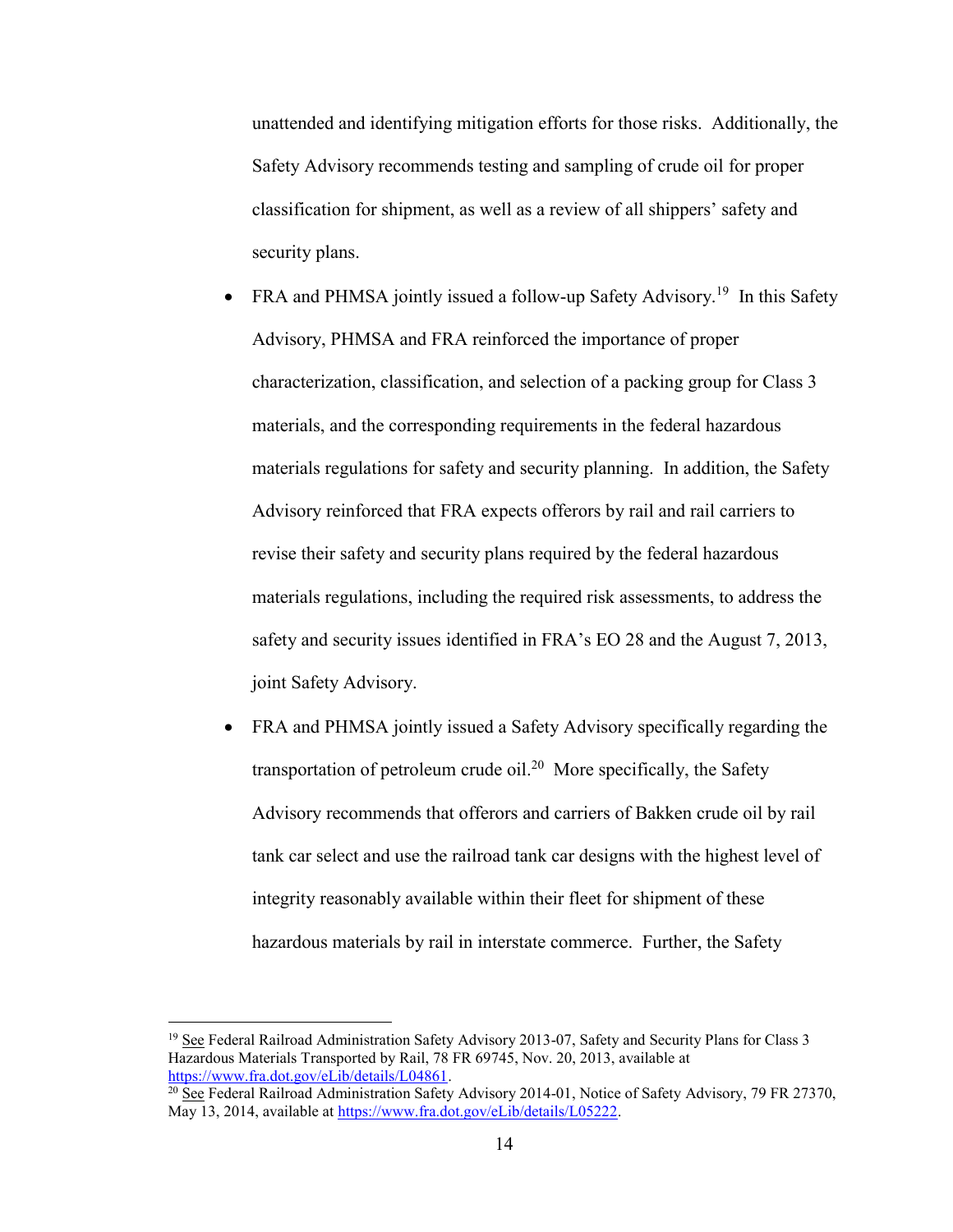unattended and identifying mitigation efforts for those risks. Additionally, the Safety Advisory recommends testing and sampling of crude oil for proper classification for shipment, as well as a review of all shippers' safety and security plans.

• FRA and PHMSA jointly issued a follow-up Safety Advisory.<sup>19</sup> In this Safety Advisory, PHMSA and FRA reinforced the importance of proper characterization, classification, and selection of a packing group for Class 3 materials, and the corresponding requirements in the federal hazardous materials regulations for safety and security planning. In addition, the Safety Advisory reinforced that FRA expects offerors by rail and rail carriers to revise their safety and security plans required by the federal hazardous materials regulations, including the required risk assessments, to address the safety and security issues identified in FRA's EO 28 and the August 7, 2013, joint Safety Advisory.

• FRA and PHMSA jointly issued a Safety Advisory specifically regarding the transportation of petroleum crude oil.<sup>20</sup> More specifically, the Safety Advisory recommends that offerors and carriers of Bakken crude oil by rail tank car select and use the railroad tank car designs with the highest level of integrity reasonably available within their fleet for shipment of these hazardous materials by rail in interstate commerce. Further, the Safety

<sup>&</sup>lt;sup>19</sup> See Federal Railroad Administration Safety Advisory 2013-07, Safety and Security Plans for Class 3 Hazardous Materials Transported by Rail, 78 FR 69745, Nov. 20, 2013, available at [https://www.fra.dot.gov/eLib/details/L04861.](https://www.fra.dot.gov/eLib/details/L04861)

<sup>&</sup>lt;sup>20</sup> See Federal Railroad Administration Safety Advisory 2014-01, Notice of Safety Advisory, 79 FR 27370, May 13, 2014, available at [https://www.fra.dot.gov/eLib/details/L05222.](https://www.fra.dot.gov/eLib/details/L05222)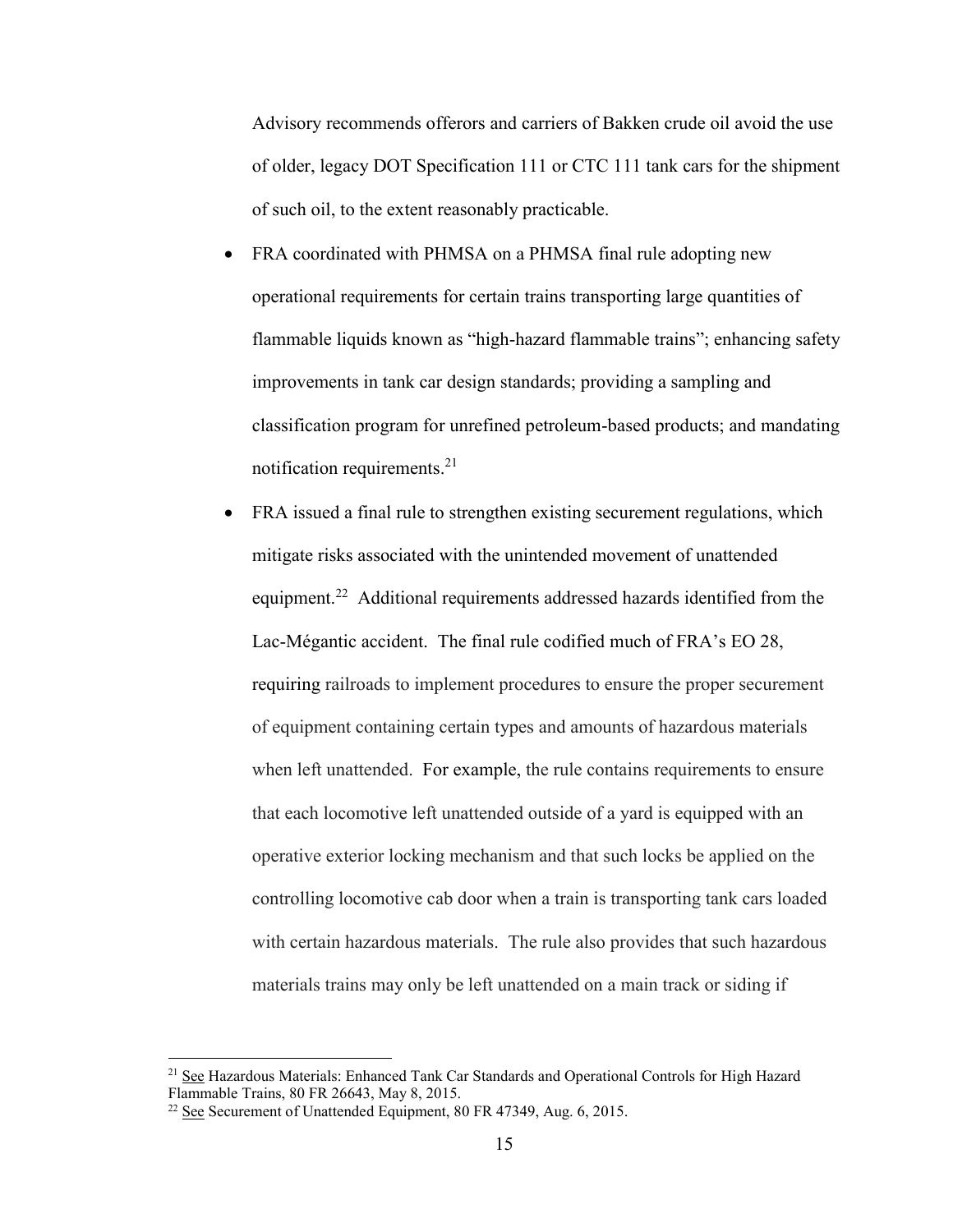Advisory recommends offerors and carriers of Bakken crude oil avoid the use of older, legacy DOT Specification 111 or CTC 111 tank cars for the shipment of such oil, to the extent reasonably practicable.

- FRA coordinated with PHMSA on a PHMSA final rule adopting new operational requirements for certain trains transporting large quantities of flammable liquids known as "high-hazard flammable trains"; enhancing safety improvements in tank car design standards; providing a sampling and classification program for unrefined petroleum-based products; and mandating notification requirements.<sup>21</sup>
- FRA issued a final rule to strengthen existing securement regulations, which mitigate risks associated with the unintended movement of unattended equipment.<sup>22</sup> Additional requirements addressed hazards identified from the Lac-Mégantic accident. The final rule codified much of FRA's EO 28, requiring railroads to implement procedures to ensure the proper securement of equipment containing certain types and amounts of hazardous materials when left unattended. For example, the rule contains requirements to ensure that each locomotive left unattended outside of a yard is equipped with an operative exterior locking mechanism and that such locks be applied on the controlling locomotive cab door when a train is transporting tank cars loaded with certain hazardous materials. The rule also provides that such hazardous materials trains may only be left unattended on a main track or siding if

<sup>&</sup>lt;sup>21</sup> See Hazardous Materials: Enhanced Tank Car Standards and Operational Controls for High Hazard Flammable Trains, 80 FR 26643, May 8, 2015.

<sup>&</sup>lt;sup>22</sup> See Securement of Unattended Equipment, 80 FR 47349, Aug. 6, 2015.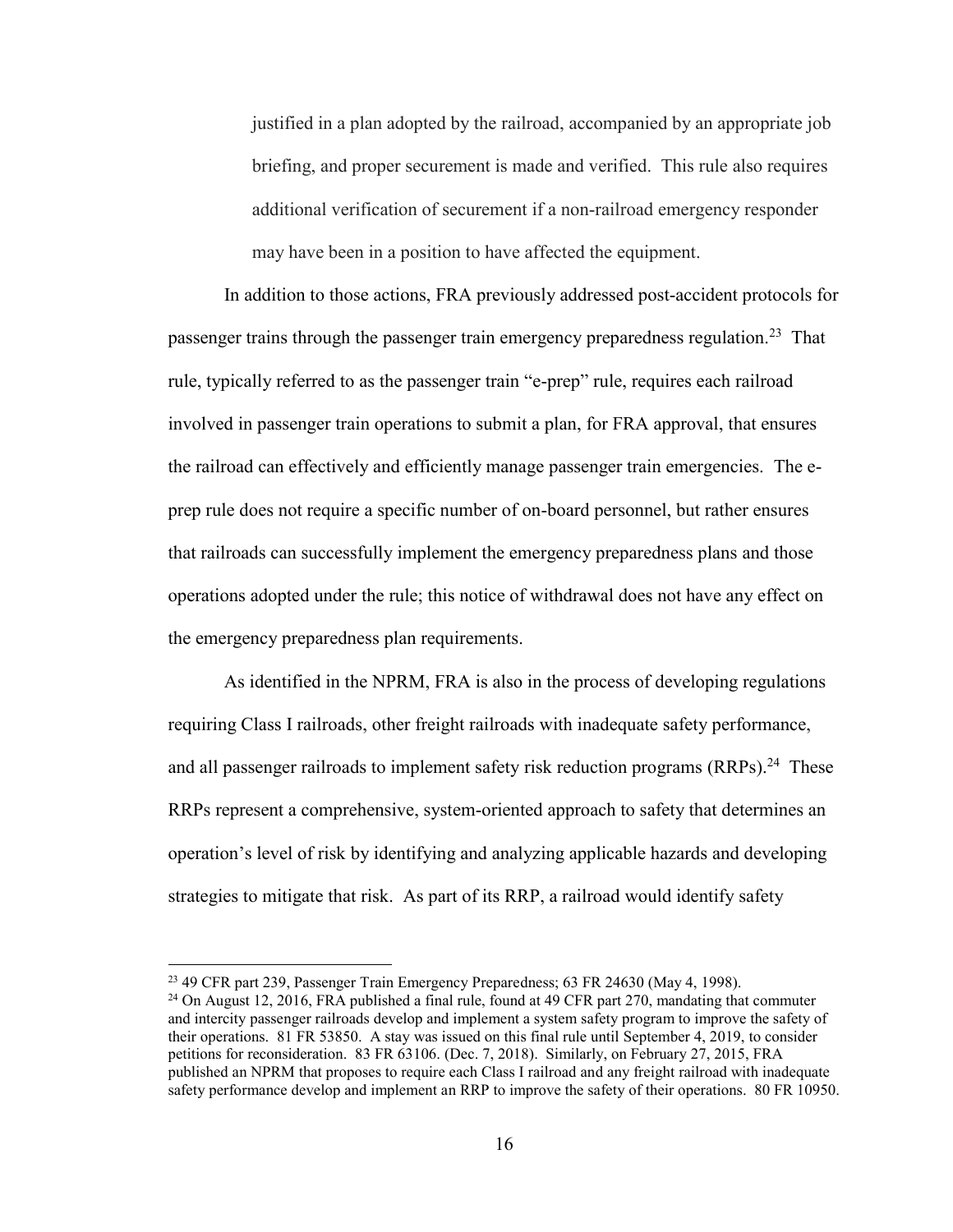justified in a plan adopted by the railroad, accompanied by an appropriate job briefing, and proper securement is made and verified. This rule also requires additional verification of securement if a non-railroad emergency responder may have been in a position to have affected the equipment.

In addition to those actions, FRA previously addressed post-accident protocols for passenger trains through the passenger train emergency preparedness regulation.<sup>23</sup> That rule, typically referred to as the passenger train "e-prep" rule, requires each railroad involved in passenger train operations to submit a plan, for FRA approval, that ensures the railroad can effectively and efficiently manage passenger train emergencies. The eprep rule does not require a specific number of on-board personnel, but rather ensures that railroads can successfully implement the emergency preparedness plans and those operations adopted under the rule; this notice of withdrawal does not have any effect on the emergency preparedness plan requirements.

As identified in the NPRM, FRA is also in the process of developing regulations requiring Class I railroads, other freight railroads with inadequate safety performance, and all passenger railroads to implement safety risk reduction programs (RRPs).<sup>24</sup> These RRPs represent a comprehensive, system-oriented approach to safety that determines an operation's level of risk by identifying and analyzing applicable hazards and developing strategies to mitigate that risk. As part of its RRP, a railroad would identify safety

<sup>&</sup>lt;sup>23</sup> 49 CFR part 239, Passenger Train Emergency Preparedness; 63 FR 24630 (May 4, 1998).

<sup>&</sup>lt;sup>24</sup> On August 12, 2016, FRA published a final rule, found at 49 CFR part 270, mandating that commuter and intercity passenger railroads develop and implement a system safety program to improve the safety of their operations. 81 FR 53850. A stay was issued on this final rule until September 4, 2019, to consider petitions for reconsideration. 83 FR 63106. (Dec. 7, 2018). Similarly, on February 27, 2015, FRA published an NPRM that proposes to require each Class I railroad and any freight railroad with inadequate safety performance develop and implement an RRP to improve the safety of their operations. 80 FR 10950.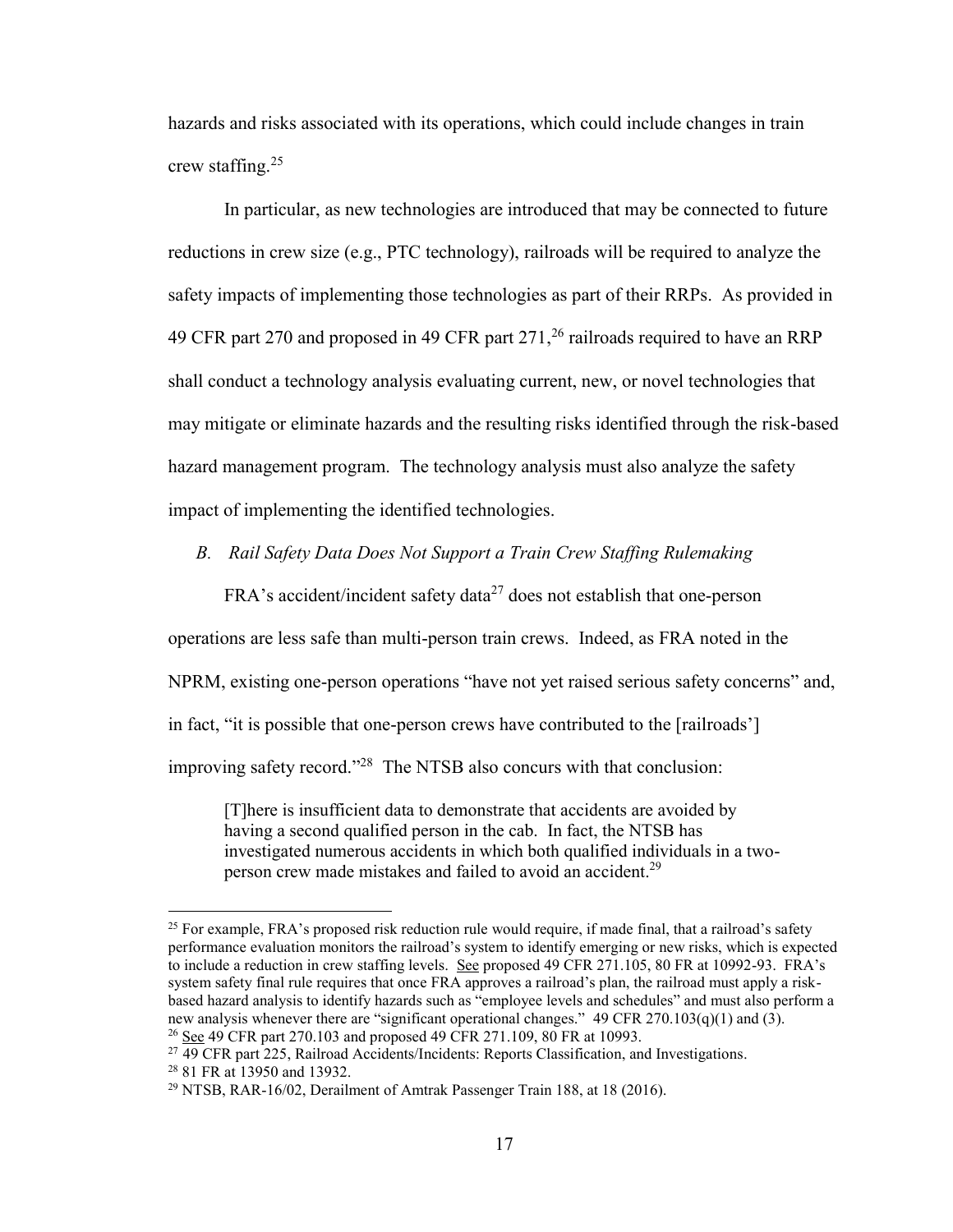hazards and risks associated with its operations, which could include changes in train crew staffing. $25$ 

In particular, as new technologies are introduced that may be connected to future reductions in crew size (e.g., PTC technology), railroads will be required to analyze the safety impacts of implementing those technologies as part of their RRPs. As provided in 49 CFR part 270 and proposed in 49 CFR part  $271$ ,  $^{26}$  railroads required to have an RRP shall conduct a technology analysis evaluating current, new, or novel technologies that may mitigate or eliminate hazards and the resulting risks identified through the risk-based hazard management program. The technology analysis must also analyze the safety impact of implementing the identified technologies.

## *B. Rail Safety Data Does Not Support a Train Crew Staffing Rulemaking*

 $FRA$ 's accident/incident safety data<sup>27</sup> does not establish that one-person operations are less safe than multi-person train crews. Indeed, as FRA noted in the NPRM, existing one-person operations "have not yet raised serious safety concerns" and, in fact, "it is possible that one-person crews have contributed to the [railroads'] improving safety record."<sup>28</sup> The NTSB also concurs with that conclusion:

[T]here is insufficient data to demonstrate that accidents are avoided by having a second qualified person in the cab. In fact, the NTSB has investigated numerous accidents in which both qualified individuals in a twoperson crew made mistakes and failed to avoid an accident.<sup>29</sup>

 $25$  For example, FRA's proposed risk reduction rule would require, if made final, that a railroad's safety performance evaluation monitors the railroad's system to identify emerging or new risks, which is expected to include a reduction in crew staffing levels. See proposed 49 CFR 271.105, 80 FR at 10992-93. FRA's system safety final rule requires that once FRA approves a railroad's plan, the railroad must apply a riskbased hazard analysis to identify hazards such as "employee levels and schedules" and must also perform a new analysis whenever there are "significant operational changes." 49 CFR 270.103(q)(1) and (3). <sup>26</sup> See 49 CFR part 270.103 and proposed 49 CFR 271.109, 80 FR at 10993.

<sup>27</sup> 49 CFR part 225, Railroad Accidents/Incidents: Reports Classification, and Investigations.

<sup>28</sup> 81 FR at 13950 and 13932.

<sup>&</sup>lt;sup>29</sup> NTSB, RAR-16/02, Derailment of Amtrak Passenger Train 188, at 18 (2016).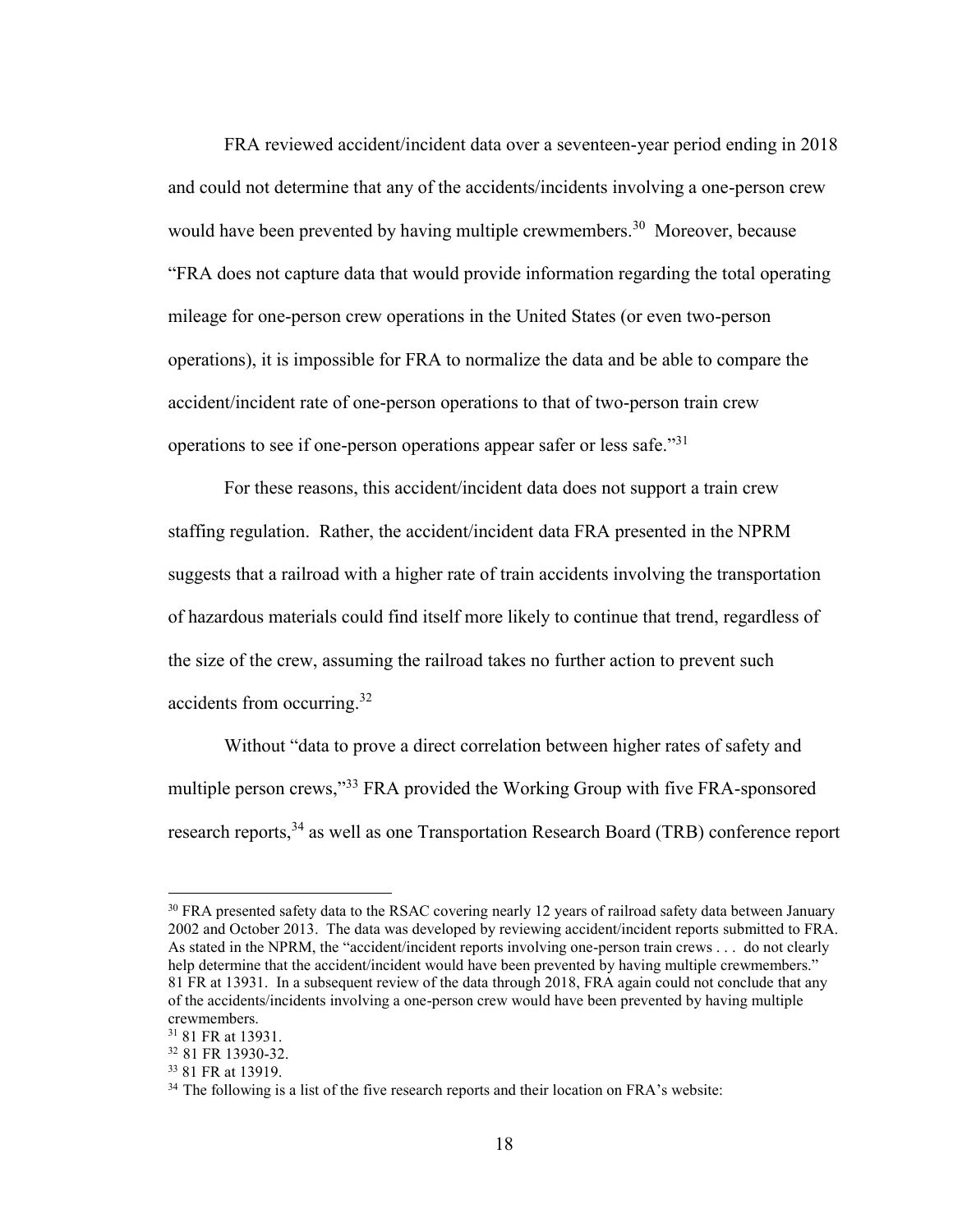FRA reviewed accident/incident data over a seventeen-year period ending in 2018 and could not determine that any of the accidents/incidents involving a one-person crew would have been prevented by having multiple crewmembers.<sup>30</sup> Moreover, because "FRA does not capture data that would provide information regarding the total operating mileage for one-person crew operations in the United States (or even two-person operations), it is impossible for FRA to normalize the data and be able to compare the accident/incident rate of one-person operations to that of two-person train crew operations to see if one-person operations appear safer or less safe."<sup>31</sup>

For these reasons, this accident/incident data does not support a train crew staffing regulation. Rather, the accident/incident data FRA presented in the NPRM suggests that a railroad with a higher rate of train accidents involving the transportation of hazardous materials could find itself more likely to continue that trend, regardless of the size of the crew, assuming the railroad takes no further action to prevent such accidents from occurring.<sup>32</sup>

Without "data to prove a direct correlation between higher rates of safety and multiple person crews,"<sup>33</sup> FRA provided the Working Group with five FRA-sponsored research reports,<sup>34</sup> as well as one Transportation Research Board (TRB) conference report

<sup>&</sup>lt;sup>30</sup> FRA presented safety data to the RSAC covering nearly 12 years of railroad safety data between January 2002 and October 2013. The data was developed by reviewing accident/incident reports submitted to FRA. As stated in the NPRM, the "accident/incident reports involving one-person train crews . . . do not clearly help determine that the accident/incident would have been prevented by having multiple crewmembers." 81 FR at 13931. In a subsequent review of the data through 2018, FRA again could not conclude that any of the accidents/incidents involving a one-person crew would have been prevented by having multiple crewmembers.

<sup>31</sup> 81 FR at 13931.

<sup>32</sup> 81 FR 13930-32.

<sup>33</sup> 81 FR at 13919.

 $34$  The following is a list of the five research reports and their location on FRA's website: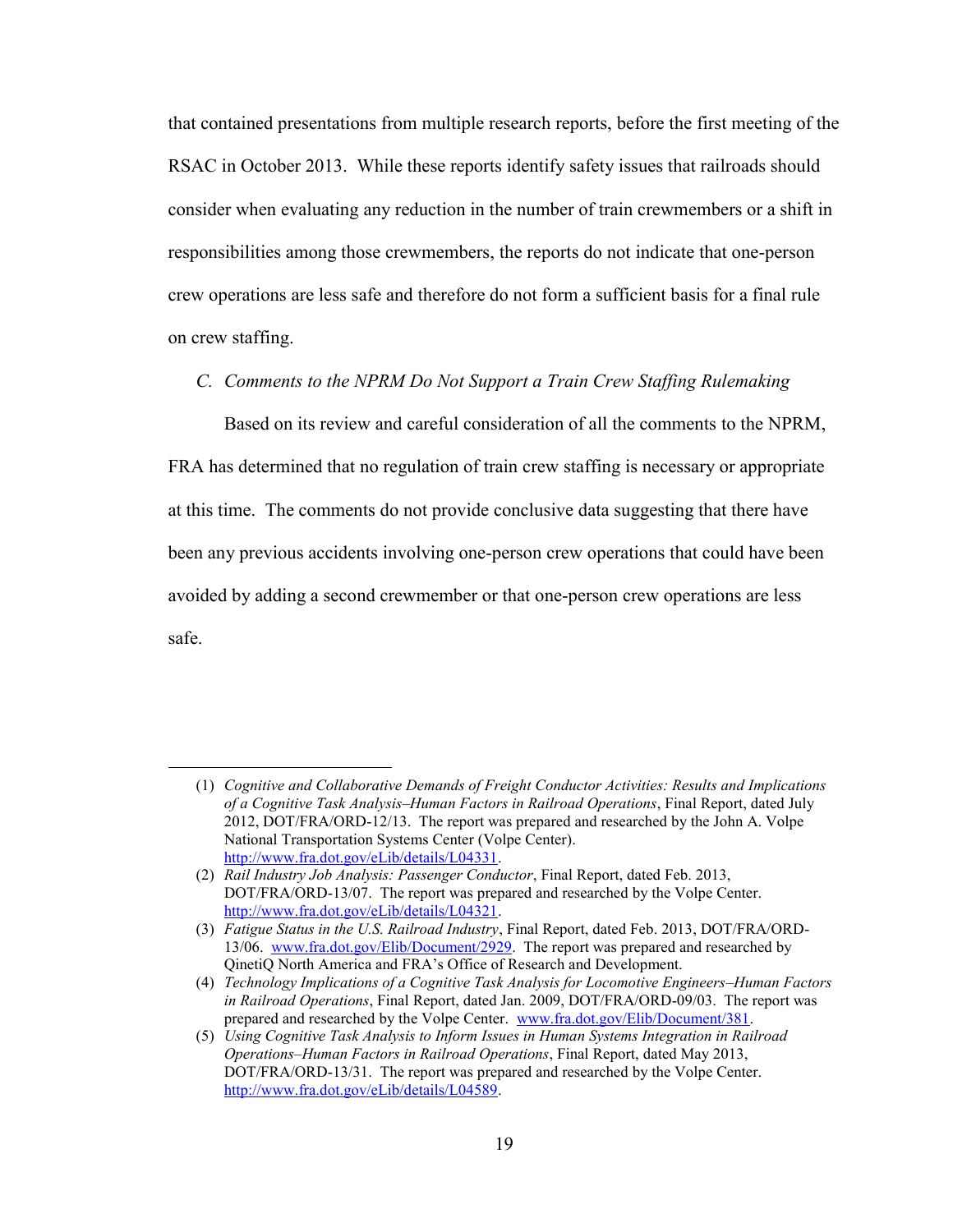that contained presentations from multiple research reports, before the first meeting of the RSAC in October 2013. While these reports identify safety issues that railroads should consider when evaluating any reduction in the number of train crewmembers or a shift in responsibilities among those crewmembers, the reports do not indicate that one-person crew operations are less safe and therefore do not form a sufficient basis for a final rule on crew staffing.

*C. Comments to the NPRM Do Not Support a Train Crew Staffing Rulemaking*

Based on its review and careful consideration of all the comments to the NPRM, FRA has determined that no regulation of train crew staffing is necessary or appropriate at this time. The comments do not provide conclusive data suggesting that there have been any previous accidents involving one-person crew operations that could have been avoided by adding a second crewmember or that one-person crew operations are less safe.

<sup>(1)</sup> *Cognitive and Collaborative Demands of Freight Conductor Activities: Results and Implications of a Cognitive Task Analysis–Human Factors in Railroad Operations*, Final Report, dated July 2012, DOT/FRA/ORD-12/13. The report was prepared and researched by the John A. Volpe National Transportation Systems Center (Volpe Center). [http://www.fra.dot.gov/eLib/details/L04331.](http://www.fra.dot.gov/eLib/details/L04331)

<sup>(2)</sup> *Rail Industry Job Analysis: Passenger Conductor*, Final Report, dated Feb. 2013, DOT/FRA/ORD-13/07. The report was prepared and researched by the Volpe Center. [http://www.fra.dot.gov/eLib/details/L04321.](http://www.fra.dot.gov/eLib/details/L04321)

<sup>(3)</sup> *Fatigue Status in the U.S. Railroad Industry*, Final Report, dated Feb. 2013, DOT/FRA/ORD-13/06. [www.fra.dot.gov/Elib/Document/2929.](http://www.fra.dot.gov/Elib/Document/2929) The report was prepared and researched by QinetiQ North America and FRA's Office of Research and Development.

<sup>(4)</sup> *Technology Implications of a Cognitive Task Analysis for Locomotive Engineers–Human Factors in Railroad Operations*, Final Report, dated Jan. 2009, DOT/FRA/ORD-09/03. The report was prepared and researched by the Volpe Center. [www.fra.dot.gov/Elib/Document/381.](http://www.fra.dot.gov/Elib/Document/381)

<sup>(5)</sup> *Using Cognitive Task Analysis to Inform Issues in Human Systems Integration in Railroad Operations–Human Factors in Railroad Operations*, Final Report, dated May 2013, DOT/FRA/ORD-13/31. The report was prepared and researched by the Volpe Center. [http://www.fra.dot.gov/eLib/details/L04589.](http://www.fra.dot.gov/eLib/details/L04589)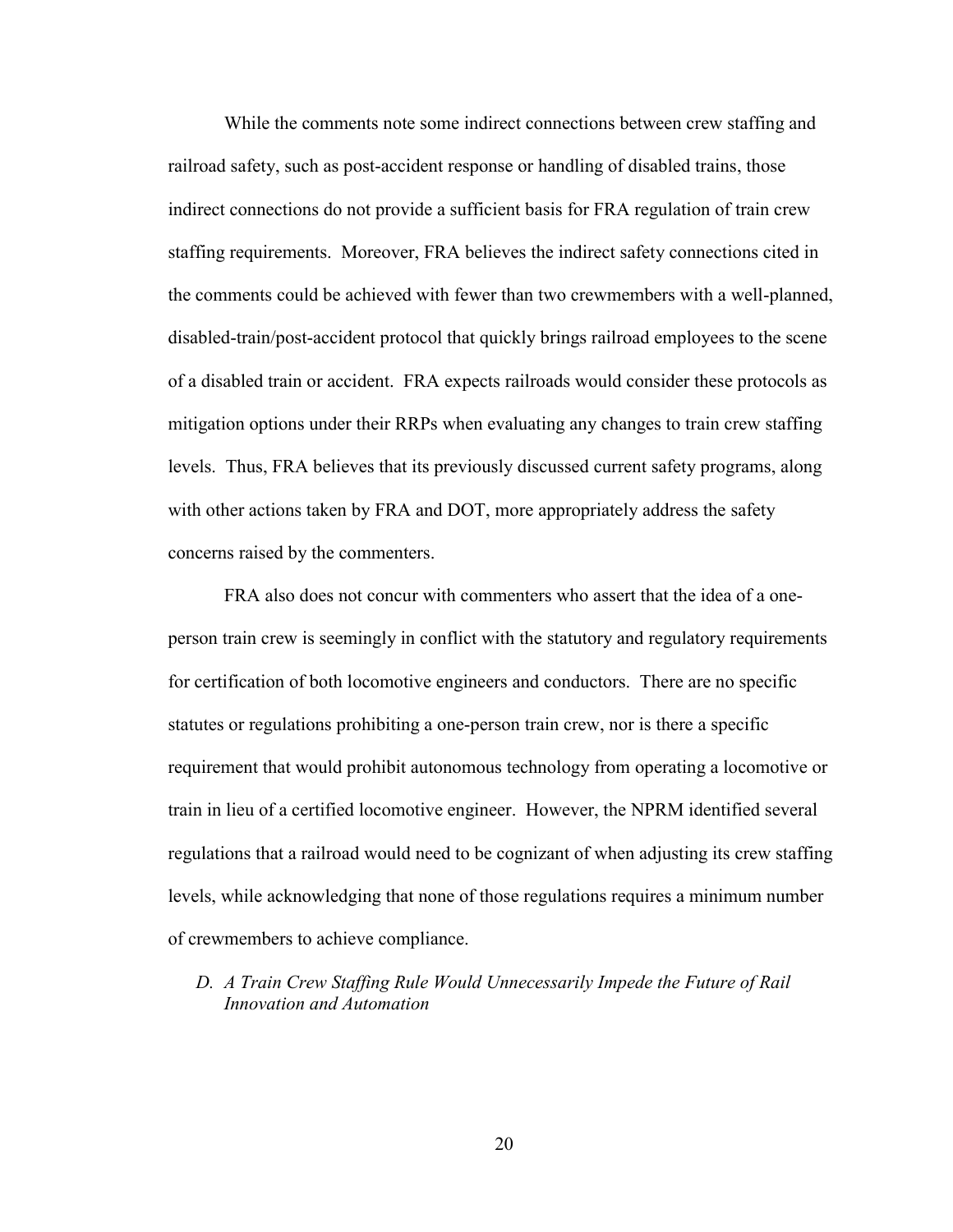While the comments note some indirect connections between crew staffing and railroad safety, such as post-accident response or handling of disabled trains, those indirect connections do not provide a sufficient basis for FRA regulation of train crew staffing requirements. Moreover, FRA believes the indirect safety connections cited in the comments could be achieved with fewer than two crewmembers with a well-planned, disabled-train/post-accident protocol that quickly brings railroad employees to the scene of a disabled train or accident. FRA expects railroads would consider these protocols as mitigation options under their RRPs when evaluating any changes to train crew staffing levels. Thus, FRA believes that its previously discussed current safety programs, along with other actions taken by FRA and DOT, more appropriately address the safety concerns raised by the commenters.

FRA also does not concur with commenters who assert that the idea of a oneperson train crew is seemingly in conflict with the statutory and regulatory requirements for certification of both locomotive engineers and conductors. There are no specific statutes or regulations prohibiting a one-person train crew, nor is there a specific requirement that would prohibit autonomous technology from operating a locomotive or train in lieu of a certified locomotive engineer. However, the NPRM identified several regulations that a railroad would need to be cognizant of when adjusting its crew staffing levels, while acknowledging that none of those regulations requires a minimum number of crewmembers to achieve compliance.

# *D. A Train Crew Staffing Rule Would Unnecessarily Impede the Future of Rail Innovation and Automation*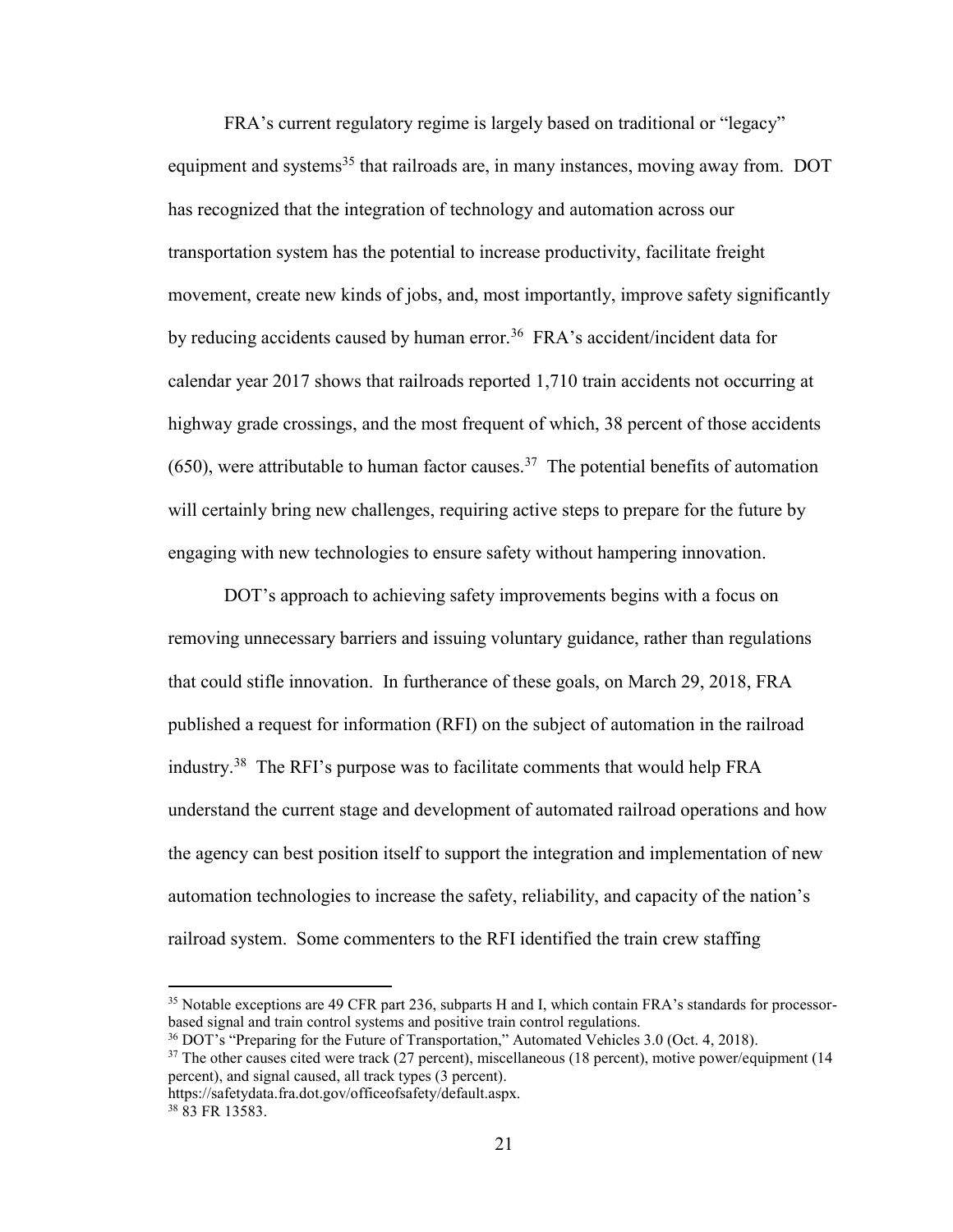FRA's current regulatory regime is largely based on traditional or "legacy" equipment and systems<sup>35</sup> that railroads are, in many instances, moving away from. DOT has recognized that the integration of technology and automation across our transportation system has the potential to increase productivity, facilitate freight movement, create new kinds of jobs, and, most importantly, improve safety significantly by reducing accidents caused by human error.<sup>36</sup> FRA's accident/incident data for calendar year 2017 shows that railroads reported 1,710 train accidents not occurring at highway grade crossings, and the most frequent of which, 38 percent of those accidents  $(650)$ , were attributable to human factor causes.<sup>37</sup> The potential benefits of automation will certainly bring new challenges, requiring active steps to prepare for the future by engaging with new technologies to ensure safety without hampering innovation.

DOT's approach to achieving safety improvements begins with a focus on removing unnecessary barriers and issuing voluntary guidance, rather than regulations that could stifle innovation. In furtherance of these goals, on March 29, 2018, FRA published a request for information (RFI) on the subject of automation in the railroad industry.<sup>38</sup> The RFI's purpose was to facilitate comments that would help FRA understand the current stage and development of automated railroad operations and how the agency can best position itself to support the integration and implementation of new automation technologies to increase the safety, reliability, and capacity of the nation's railroad system. Some commenters to the RFI identified the train crew staffing

<sup>&</sup>lt;sup>35</sup> Notable exceptions are 49 CFR part 236, subparts H and I, which contain FRA's standards for processorbased signal and train control systems and positive train control regulations.

<sup>36</sup> DOT's "Preparing for the Future of Transportation," Automated Vehicles 3.0 (Oct. 4, 2018).

 $37$  The other causes cited were track (27 percent), miscellaneous (18 percent), motive power/equipment (14 percent), and signal caused, all track types (3 percent).

https://safetydata.fra.dot.gov/officeofsafety/default.aspx.

<sup>38</sup> 83 FR 13583.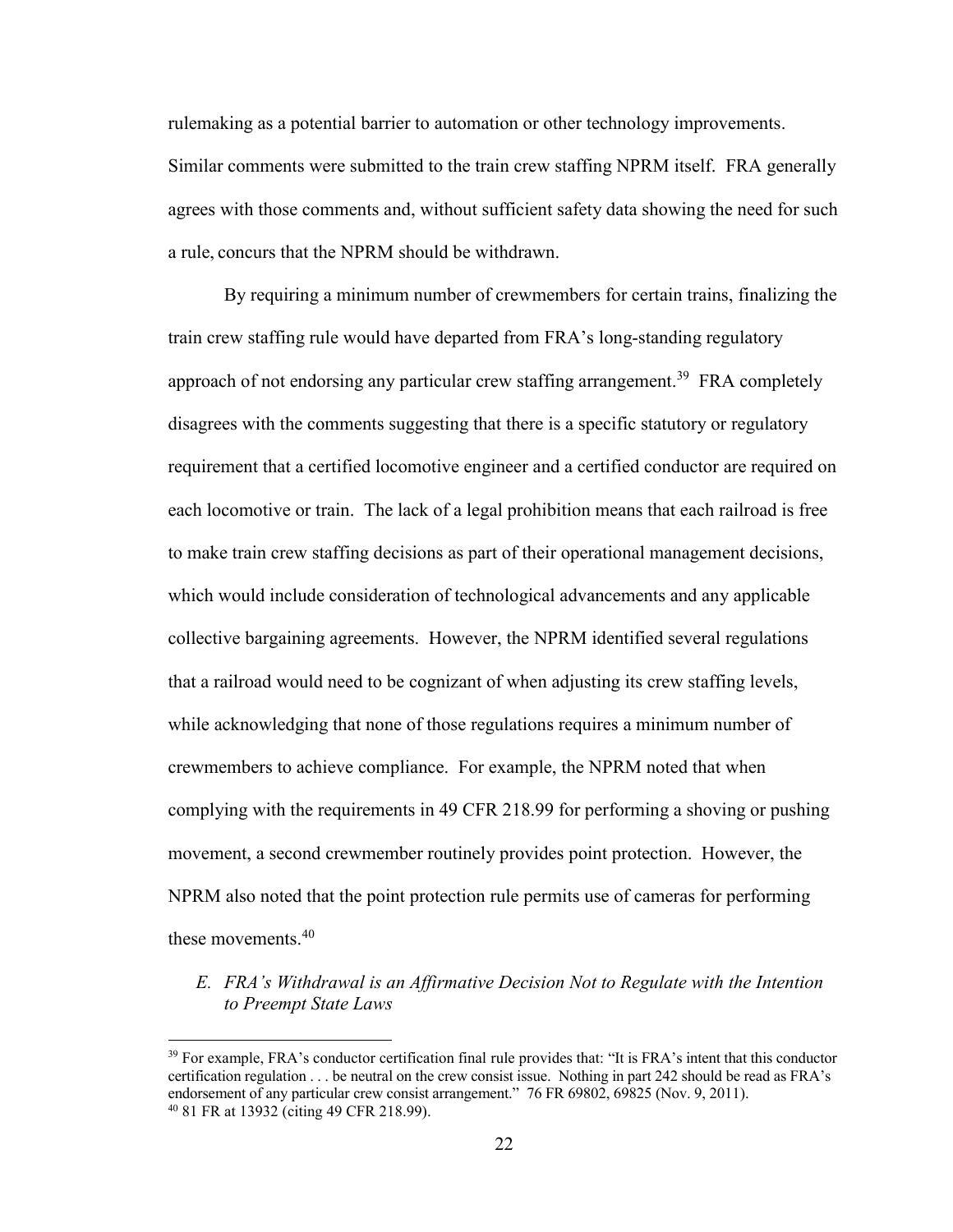rulemaking as a potential barrier to automation or other technology improvements.

Similar comments were submitted to the train crew staffing NPRM itself. FRA generally agrees with those comments and, without sufficient safety data showing the need for such a rule, concurs that the NPRM should be withdrawn.

By requiring a minimum number of crewmembers for certain trains, finalizing the train crew staffing rule would have departed from FRA's long-standing regulatory approach of not endorsing any particular crew staffing arrangement.<sup>39</sup> FRA completely disagrees with the comments suggesting that there is a specific statutory or regulatory requirement that a certified locomotive engineer and a certified conductor are required on each locomotive or train. The lack of a legal prohibition means that each railroad is free to make train crew staffing decisions as part of their operational management decisions, which would include consideration of technological advancements and any applicable collective bargaining agreements. However, the NPRM identified several regulations that a railroad would need to be cognizant of when adjusting its crew staffing levels, while acknowledging that none of those regulations requires a minimum number of crewmembers to achieve compliance. For example, the NPRM noted that when complying with the requirements in 49 CFR 218.99 for performing a shoving or pushing movement, a second crewmember routinely provides point protection. However, the NPRM also noted that the point protection rule permits use of cameras for performing these movements.<sup>40</sup>

# *E. FRA's Withdrawal is an Affirmative Decision Not to Regulate with the Intention to Preempt State Laws*

<sup>&</sup>lt;sup>39</sup> For example, FRA's conductor certification final rule provides that: "It is FRA's intent that this conductor certification regulation . . . be neutral on the crew consist issue. Nothing in part 242 should be read as FRA's endorsement of any particular crew consist arrangement." 76 FR 69802, 69825 (Nov. 9, 2011). <sup>40</sup> 81 FR at 13932 (citing 49 CFR 218.99).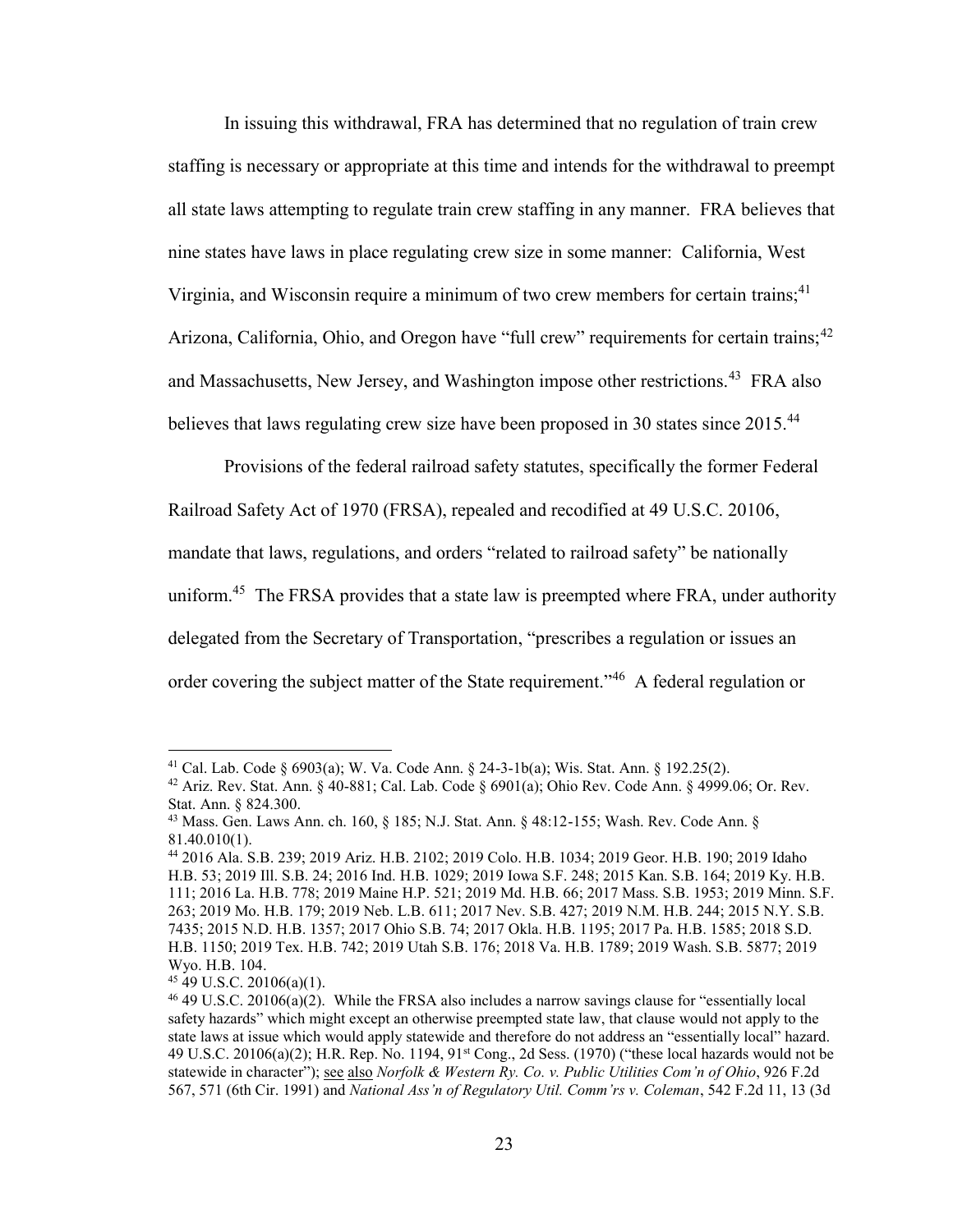In issuing this withdrawal, FRA has determined that no regulation of train crew staffing is necessary or appropriate at this time and intends for the withdrawal to preempt all state laws attempting to regulate train crew staffing in any manner. FRA believes that nine states have laws in place regulating crew size in some manner: California, West Virginia, and Wisconsin require a minimum of two crew members for certain trains;  $41$ Arizona, California, Ohio, and Oregon have "full crew" requirements for certain trains;<sup>42</sup> and Massachusetts, New Jersey, and Washington impose other restrictions.<sup>43</sup> FRA also believes that laws regulating crew size have been proposed in 30 states since 2015.<sup>44</sup>

Provisions of the federal railroad safety statutes, specifically the former Federal Railroad Safety Act of 1970 (FRSA), repealed and recodified at 49 U.S.C. 20106, mandate that laws, regulations, and orders "related to railroad safety" be nationally uniform.<sup>45</sup> The FRSA provides that a state law is preempted where FRA, under authority delegated from the Secretary of Transportation, "prescribes a regulation or issues an order covering the subject matter of the State requirement."<sup>46</sup> A federal regulation or

<sup>41</sup> Cal. Lab. Code § 6903(a); W. Va. Code Ann. § 24-3-1b(a); Wis. Stat. Ann. § 192.25(2).

<sup>&</sup>lt;sup>42</sup> Ariz. Rev. Stat. Ann. § 40-881; Cal. Lab. Code § 6901(a); Ohio Rev. Code Ann. § 4999.06; Or. Rev. Stat. Ann. § 824.300.

<sup>43</sup> Mass. Gen. Laws Ann. ch. 160, § 185; N.J. Stat. Ann. § 48:12-155; Wash. Rev. Code Ann. § 81.40.010(1).

<sup>44</sup> 2016 Ala. S.B. 239; 2019 Ariz. H.B. 2102; 2019 Colo. H.B. 1034; 2019 Geor. H.B. 190; 2019 Idaho H.B. 53; 2019 Ill. S.B. 24; 2016 Ind. H.B. 1029; 2019 Iowa S.F. 248; 2015 Kan. S.B. 164; 2019 Ky. H.B. 111; 2016 La. H.B. 778; 2019 Maine H.P. 521; 2019 Md. H.B. 66; 2017 Mass. S.B. 1953; 2019 Minn. S.F. 263; 2019 Mo. H.B. 179; 2019 Neb. L.B. 611; 2017 Nev. S.B. 427; 2019 N.M. H.B. 244; 2015 N.Y. S.B. 7435; 2015 N.D. H.B. 1357; 2017 Ohio S.B. 74; 2017 Okla. H.B. 1195; 2017 Pa. H.B. 1585; 2018 S.D. H.B. 1150; 2019 Tex. H.B. 742; 2019 Utah S.B. 176; 2018 Va. H.B. 1789; 2019 Wash. S.B. 5877; 2019 Wyo. H.B. 104.

 $45$  49 U.S.C. 20106(a)(1).

<sup>46</sup> 49 U.S.C. 20106(a)(2). While the FRSA also includes a narrow savings clause for "essentially local safety hazards" which might except an otherwise preempted state law, that clause would not apply to the state laws at issue which would apply statewide and therefore do not address an "essentially local" hazard. 49 U.S.C. 20106(a)(2); H.R. Rep. No. 1194, 91st Cong., 2d Sess. (1970) ("these local hazards would not be statewide in character"); see also *Norfolk & Western Ry. Co. v. Public Utilities Com'n of Ohio*, 926 F.2d 567, 571 (6th Cir. 1991) and *National Ass'n of Regulatory Util. Comm'rs v. Coleman*, 542 F.2d 11, 13 (3d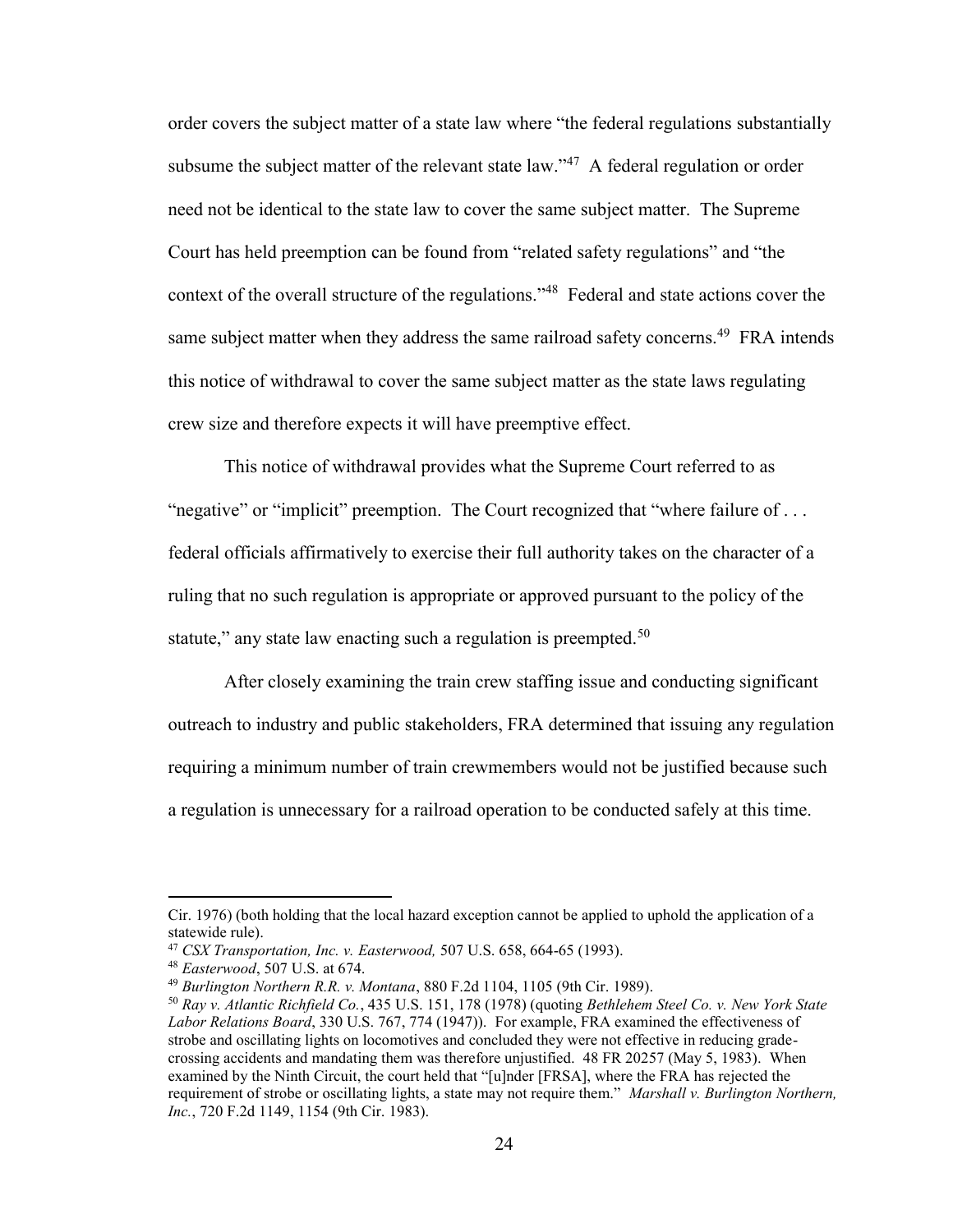order covers the subject matter of a state law where "the federal regulations substantially subsume the subject matter of the relevant state  $law.^{47}$  A federal regulation or order need not be identical to the state law to cover the same subject matter. The Supreme Court has held preemption can be found from "related safety regulations" and "the context of the overall structure of the regulations."<sup>48</sup> Federal and state actions cover the same subject matter when they address the same railroad safety concerns.<sup>49</sup> FRA intends this notice of withdrawal to cover the same subject matter as the state laws regulating crew size and therefore expects it will have preemptive effect.

This notice of withdrawal provides what the Supreme Court referred to as "negative" or "implicit" preemption. The Court recognized that "where failure of ... federal officials affirmatively to exercise their full authority takes on the character of a ruling that no such regulation is appropriate or approved pursuant to the policy of the statute," any state law enacting such a regulation is preempted.<sup>50</sup>

After closely examining the train crew staffing issue and conducting significant outreach to industry and public stakeholders, FRA determined that issuing any regulation requiring a minimum number of train crewmembers would not be justified because such a regulation is unnecessary for a railroad operation to be conducted safely at this time.

Cir. 1976) (both holding that the local hazard exception cannot be applied to uphold the application of a statewide rule).

<sup>47</sup> *CSX Transportation, Inc. v. Easterwood,* 507 U.S. 658, 664-65 (1993).

<sup>48</sup> *Easterwood*, 507 U.S. at 674.

<sup>49</sup> *Burlington Northern R.R. v. Montana*, 880 F.2d 1104, 1105 (9th Cir. 1989).

<sup>50</sup> *Ray v. Atlantic Richfield Co.*, 435 U.S. 151, 178 (1978) (quoting *Bethlehem Steel Co. v. New York State Labor Relations Board*, 330 U.S. 767, 774 (1947)). For example, FRA examined the effectiveness of strobe and oscillating lights on locomotives and concluded they were not effective in reducing gradecrossing accidents and mandating them was therefore unjustified. 48 FR 20257 (May 5, 1983). When examined by the Ninth Circuit, the court held that "[u]nder [FRSA], where the FRA has rejected the requirement of strobe or oscillating lights, a state may not require them." *Marshall v. Burlington Northern, Inc.*, 720 F.2d 1149, 1154 (9th Cir. 1983).